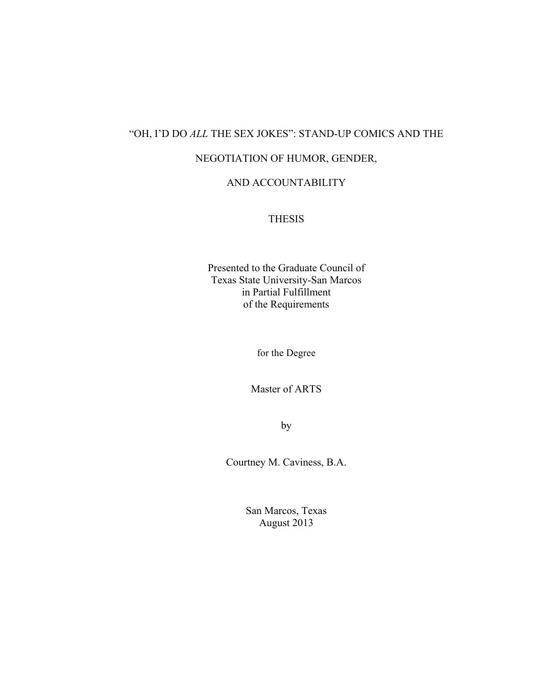## "OH, I'D DO *ALL* THE SEX JOKES": STAND-UP COMICS AND THE

## NEGOTIATION OF HUMOR, GENDER,

#### AND ACCOUNTABILITY

### THESIS

Presented to the Graduate Council of Texas State University-San Marcos in Partial Fulfillment of the Requirements

for the Degree

Master of ARTS

by

Courtney M. Caviness, B.A.

San Marcos, Texas August 2013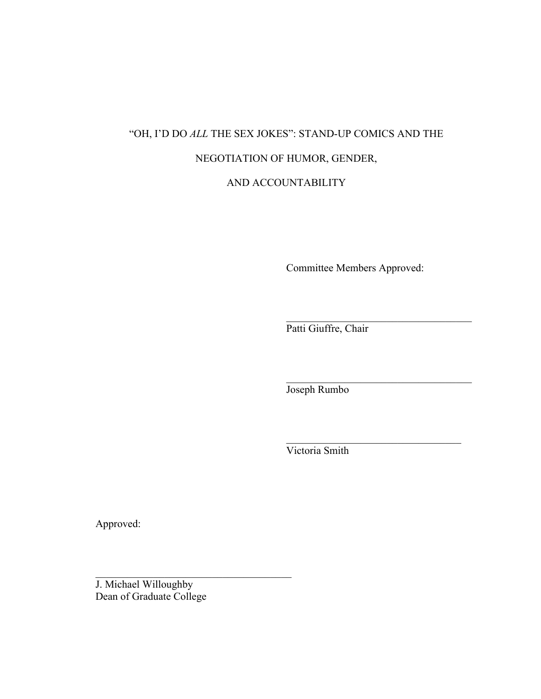# "OH, I'D DO *ALL* THE SEX JOKES": STAND-UP COMICS AND THE NEGOTIATION OF HUMOR, GENDER,

AND ACCOUNTABILITY

Committee Members Approved:

 $\mathcal{L}_\text{max}$ 

 $\mathcal{L}_\text{max}$  , and the set of the set of the set of the set of the set of the set of the set of the set of the set of the set of the set of the set of the set of the set of the set of the set of the set of the set of the

 $\mathcal{L}_\text{max}$ 

Patti Giuffre, Chair

Joseph Rumbo

Victoria Smith

Approved:

J. Michael Willoughby Dean of Graduate College

 $\mathcal{L}_\text{max}$  , and the set of the set of the set of the set of the set of the set of the set of the set of the set of the set of the set of the set of the set of the set of the set of the set of the set of the set of the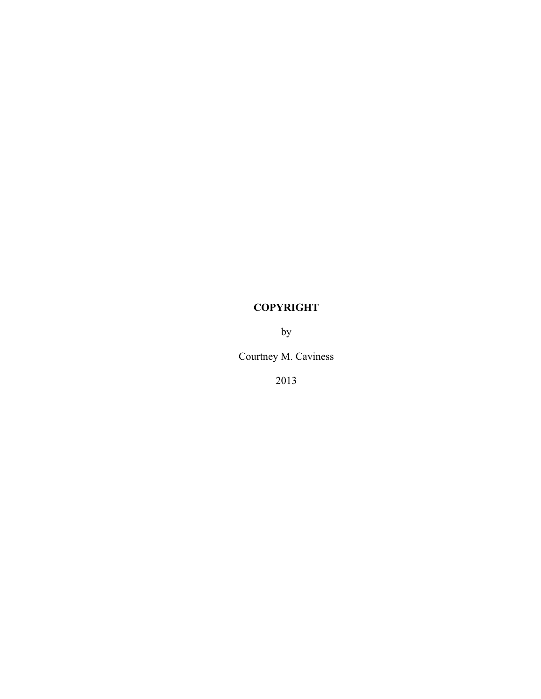## **COPYRIGHT**

by

Courtney M. Caviness

2013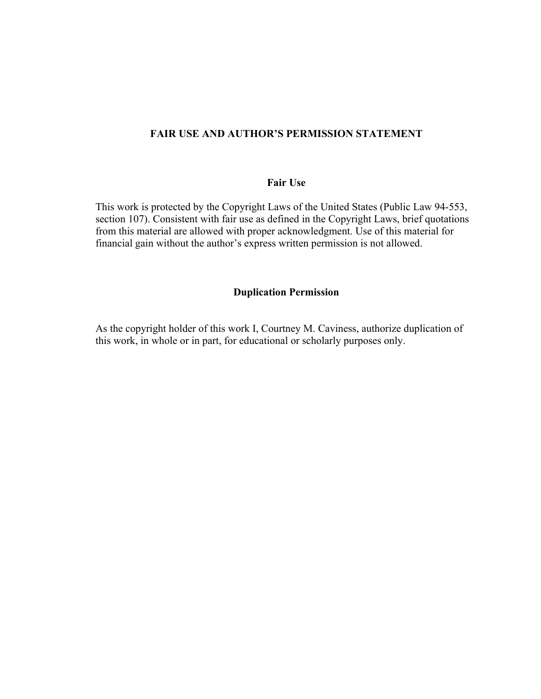#### **FAIR USE AND AUTHOR'S PERMISSION STATEMENT**

#### **Fair Use**

This work is protected by the Copyright Laws of the United States (Public Law 94-553, section 107). Consistent with fair use as defined in the Copyright Laws, brief quotations from this material are allowed with proper acknowledgment. Use of this material for financial gain without the author's express written permission is not allowed.

#### **Duplication Permission**

As the copyright holder of this work I, Courtney M. Caviness, authorize duplication of this work, in whole or in part, for educational or scholarly purposes only.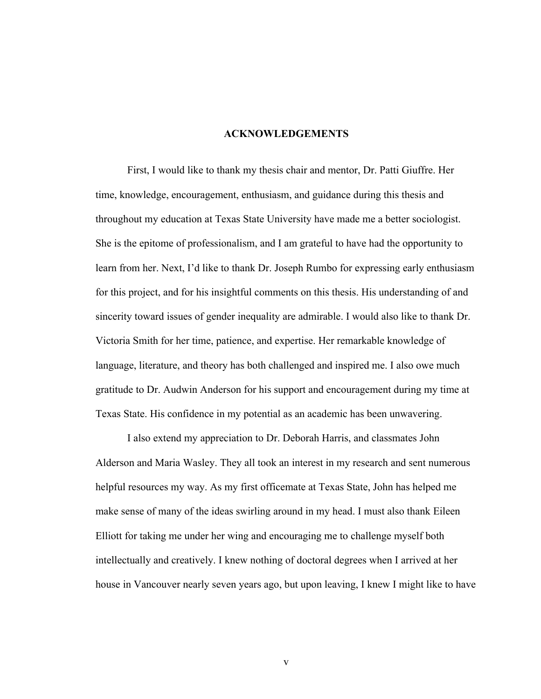#### **ACKNOWLEDGEMENTS**

First, I would like to thank my thesis chair and mentor, Dr. Patti Giuffre. Her time, knowledge, encouragement, enthusiasm, and guidance during this thesis and throughout my education at Texas State University have made me a better sociologist. She is the epitome of professionalism, and I am grateful to have had the opportunity to learn from her. Next, I'd like to thank Dr. Joseph Rumbo for expressing early enthusiasm for this project, and for his insightful comments on this thesis. His understanding of and sincerity toward issues of gender inequality are admirable. I would also like to thank Dr. Victoria Smith for her time, patience, and expertise. Her remarkable knowledge of language, literature, and theory has both challenged and inspired me. I also owe much gratitude to Dr. Audwin Anderson for his support and encouragement during my time at Texas State. His confidence in my potential as an academic has been unwavering.

I also extend my appreciation to Dr. Deborah Harris, and classmates John Alderson and Maria Wasley. They all took an interest in my research and sent numerous helpful resources my way. As my first officemate at Texas State, John has helped me make sense of many of the ideas swirling around in my head. I must also thank Eileen Elliott for taking me under her wing and encouraging me to challenge myself both intellectually and creatively. I knew nothing of doctoral degrees when I arrived at her house in Vancouver nearly seven years ago, but upon leaving, I knew I might like to have

v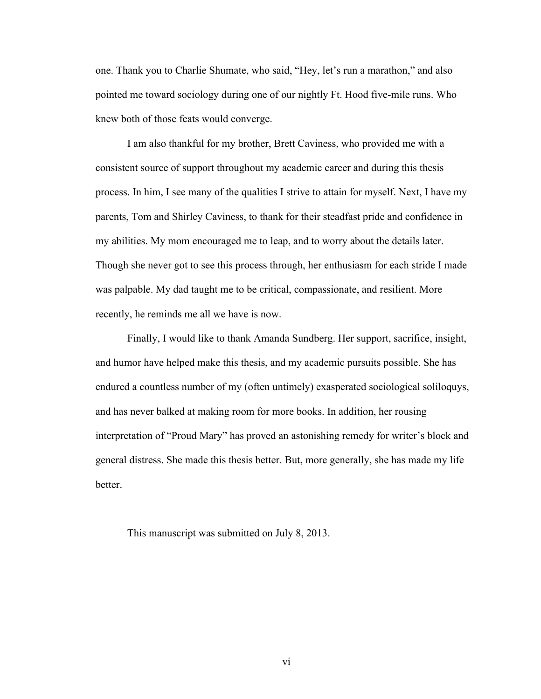one. Thank you to Charlie Shumate, who said, "Hey, let's run a marathon," and also pointed me toward sociology during one of our nightly Ft. Hood five-mile runs. Who knew both of those feats would converge.

I am also thankful for my brother, Brett Caviness, who provided me with a consistent source of support throughout my academic career and during this thesis process. In him, I see many of the qualities I strive to attain for myself. Next, I have my parents, Tom and Shirley Caviness, to thank for their steadfast pride and confidence in my abilities. My mom encouraged me to leap, and to worry about the details later. Though she never got to see this process through, her enthusiasm for each stride I made was palpable. My dad taught me to be critical, compassionate, and resilient. More recently, he reminds me all we have is now.

Finally, I would like to thank Amanda Sundberg. Her support, sacrifice, insight, and humor have helped make this thesis, and my academic pursuits possible. She has endured a countless number of my (often untimely) exasperated sociological soliloquys, and has never balked at making room for more books. In addition, her rousing interpretation of "Proud Mary" has proved an astonishing remedy for writer's block and general distress. She made this thesis better. But, more generally, she has made my life better.

This manuscript was submitted on July 8, 2013.

vi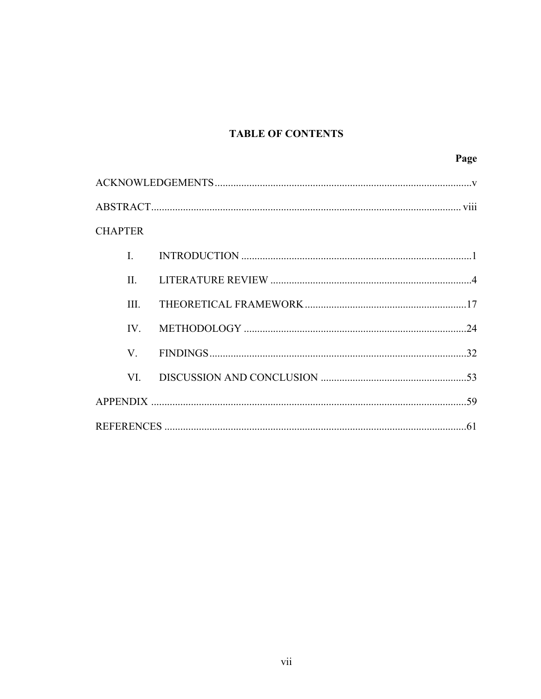## **TABLE OF CONTENTS**

|                |  | Page |
|----------------|--|------|
|                |  |      |
|                |  |      |
| <b>CHAPTER</b> |  |      |
| $\mathbf{I}$   |  |      |
| $\Pi$ .        |  |      |
| III.           |  |      |
| $IV_{-}$       |  |      |
| V              |  |      |
| VI —           |  |      |
|                |  |      |
|                |  |      |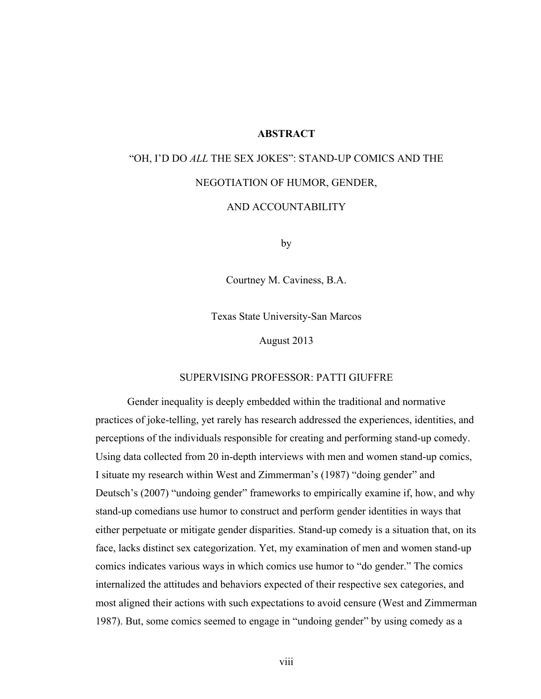#### **ABSTRACT**

## "OH, I'D DO *ALL* THE SEX JOKES": STAND-UP COMICS AND THE NEGOTIATION OF HUMOR, GENDER, AND ACCOUNTABILITY

by

Courtney M. Caviness, B.A.

Texas State University-San Marcos

August 2013

#### SUPERVISING PROFESSOR: PATTI GIUFFRE

Gender inequality is deeply embedded within the traditional and normative practices of joke-telling, yet rarely has research addressed the experiences, identities, and perceptions of the individuals responsible for creating and performing stand-up comedy. Using data collected from 20 in-depth interviews with men and women stand-up comics, I situate my research within West and Zimmerman's (1987) "doing gender" and Deutsch's (2007) "undoing gender" frameworks to empirically examine if, how, and why stand-up comedians use humor to construct and perform gender identities in ways that either perpetuate or mitigate gender disparities. Stand-up comedy is a situation that, on its face, lacks distinct sex categorization. Yet, my examination of men and women stand-up comics indicates various ways in which comics use humor to "do gender." The comics internalized the attitudes and behaviors expected of their respective sex categories, and most aligned their actions with such expectations to avoid censure (West and Zimmerman 1987). But, some comics seemed to engage in "undoing gender" by using comedy as a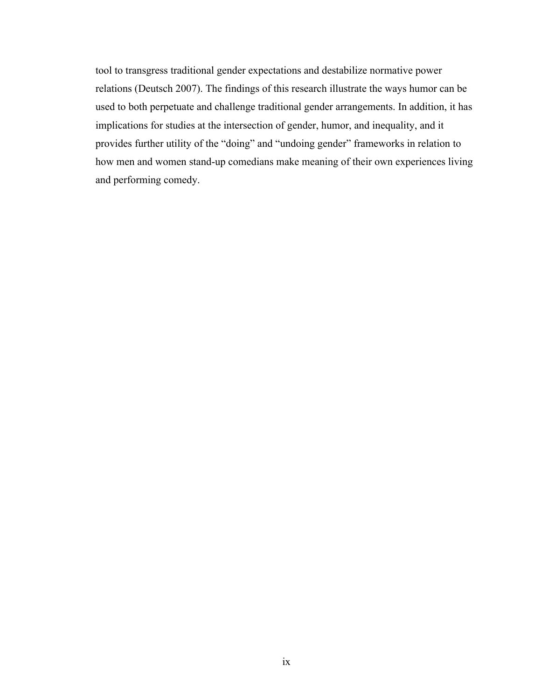tool to transgress traditional gender expectations and destabilize normative power relations (Deutsch 2007). The findings of this research illustrate the ways humor can be used to both perpetuate and challenge traditional gender arrangements. In addition, it has implications for studies at the intersection of gender, humor, and inequality, and it provides further utility of the "doing" and "undoing gender" frameworks in relation to how men and women stand-up comedians make meaning of their own experiences living and performing comedy.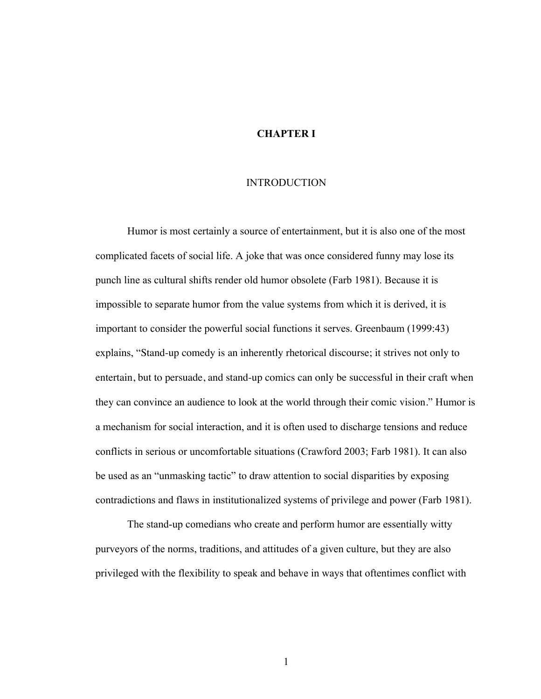#### **CHAPTER I**

#### INTRODUCTION

Humor is most certainly a source of entertainment, but it is also one of the most complicated facets of social life. A joke that was once considered funny may lose its punch line as cultural shifts render old humor obsolete (Farb 1981). Because it is impossible to separate humor from the value systems from which it is derived, it is important to consider the powerful social functions it serves. Greenbaum (1999:43) explains, "Stand-up comedy is an inherently rhetorical discourse; it strives not only to entertain, but to persuade, and stand-up comics can only be successful in their craft when they can convince an audience to look at the world through their comic vision." Humor is a mechanism for social interaction, and it is often used to discharge tensions and reduce conflicts in serious or uncomfortable situations (Crawford 2003; Farb 1981). It can also be used as an "unmasking tactic" to draw attention to social disparities by exposing contradictions and flaws in institutionalized systems of privilege and power (Farb 1981).

The stand-up comedians who create and perform humor are essentially witty purveyors of the norms, traditions, and attitudes of a given culture, but they are also privileged with the flexibility to speak and behave in ways that oftentimes conflict with

1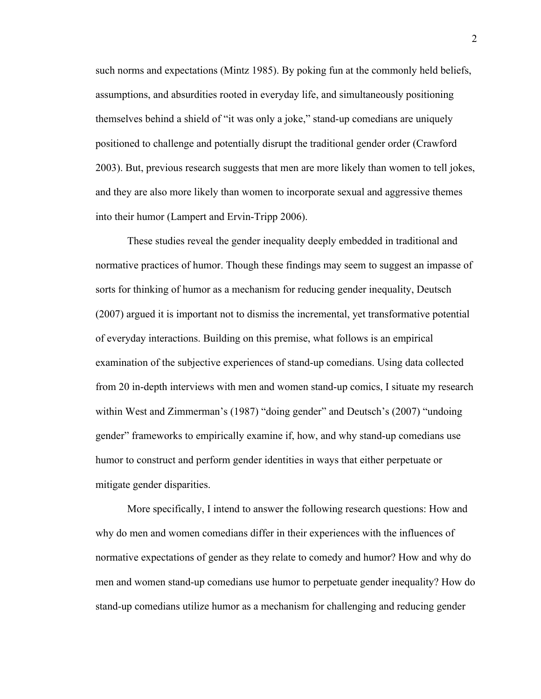such norms and expectations (Mintz 1985). By poking fun at the commonly held beliefs, assumptions, and absurdities rooted in everyday life, and simultaneously positioning themselves behind a shield of "it was only a joke," stand-up comedians are uniquely positioned to challenge and potentially disrupt the traditional gender order (Crawford 2003). But, previous research suggests that men are more likely than women to tell jokes, and they are also more likely than women to incorporate sexual and aggressive themes into their humor (Lampert and Ervin-Tripp 2006).

These studies reveal the gender inequality deeply embedded in traditional and normative practices of humor. Though these findings may seem to suggest an impasse of sorts for thinking of humor as a mechanism for reducing gender inequality, Deutsch (2007) argued it is important not to dismiss the incremental, yet transformative potential of everyday interactions. Building on this premise, what follows is an empirical examination of the subjective experiences of stand-up comedians. Using data collected from 20 in-depth interviews with men and women stand-up comics, I situate my research within West and Zimmerman's (1987) "doing gender" and Deutsch's (2007) "undoing gender" frameworks to empirically examine if, how, and why stand-up comedians use humor to construct and perform gender identities in ways that either perpetuate or mitigate gender disparities.

More specifically, I intend to answer the following research questions: How and why do men and women comedians differ in their experiences with the influences of normative expectations of gender as they relate to comedy and humor? How and why do men and women stand-up comedians use humor to perpetuate gender inequality? How do stand-up comedians utilize humor as a mechanism for challenging and reducing gender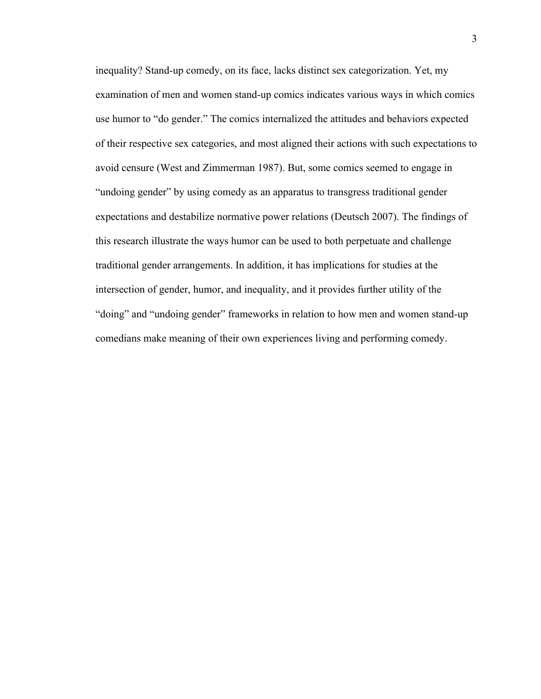inequality? Stand-up comedy, on its face, lacks distinct sex categorization. Yet, my examination of men and women stand-up comics indicates various ways in which comics use humor to "do gender." The comics internalized the attitudes and behaviors expected of their respective sex categories, and most aligned their actions with such expectations to avoid censure (West and Zimmerman 1987). But, some comics seemed to engage in "undoing gender" by using comedy as an apparatus to transgress traditional gender expectations and destabilize normative power relations (Deutsch 2007). The findings of this research illustrate the ways humor can be used to both perpetuate and challenge traditional gender arrangements. In addition, it has implications for studies at the intersection of gender, humor, and inequality, and it provides further utility of the "doing" and "undoing gender" frameworks in relation to how men and women stand-up comedians make meaning of their own experiences living and performing comedy.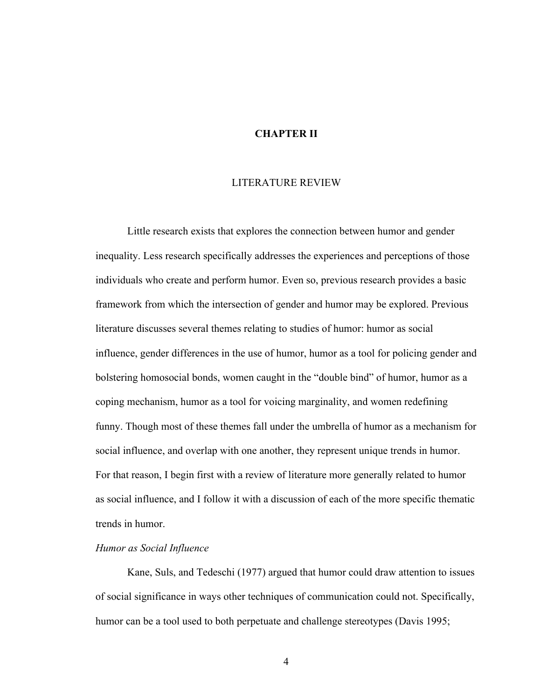#### **CHAPTER II**

#### LITERATURE REVIEW

Little research exists that explores the connection between humor and gender inequality. Less research specifically addresses the experiences and perceptions of those individuals who create and perform humor. Even so, previous research provides a basic framework from which the intersection of gender and humor may be explored. Previous literature discusses several themes relating to studies of humor: humor as social influence, gender differences in the use of humor, humor as a tool for policing gender and bolstering homosocial bonds, women caught in the "double bind" of humor, humor as a coping mechanism, humor as a tool for voicing marginality, and women redefining funny. Though most of these themes fall under the umbrella of humor as a mechanism for social influence, and overlap with one another, they represent unique trends in humor. For that reason, I begin first with a review of literature more generally related to humor as social influence, and I follow it with a discussion of each of the more specific thematic trends in humor.

#### *Humor as Social Influence*

Kane, Suls, and Tedeschi (1977) argued that humor could draw attention to issues of social significance in ways other techniques of communication could not. Specifically, humor can be a tool used to both perpetuate and challenge stereotypes (Davis 1995;

4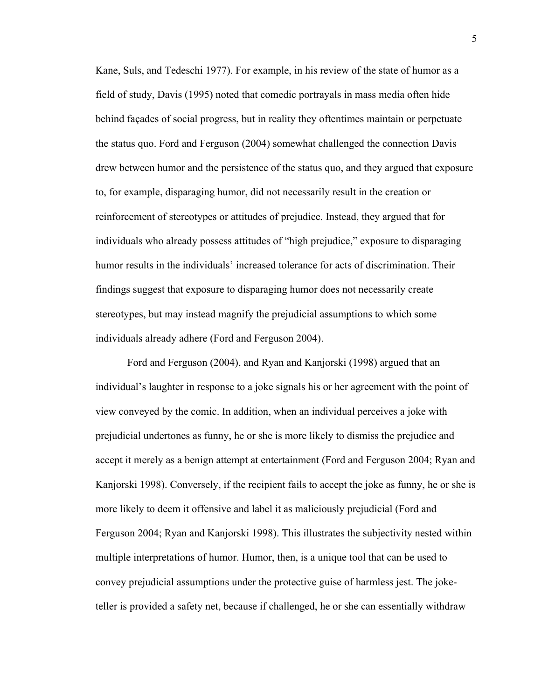Kane, Suls, and Tedeschi 1977). For example, in his review of the state of humor as a field of study, Davis (1995) noted that comedic portrayals in mass media often hide behind façades of social progress, but in reality they oftentimes maintain or perpetuate the status quo. Ford and Ferguson (2004) somewhat challenged the connection Davis drew between humor and the persistence of the status quo, and they argued that exposure to, for example, disparaging humor, did not necessarily result in the creation or reinforcement of stereotypes or attitudes of prejudice. Instead, they argued that for individuals who already possess attitudes of "high prejudice," exposure to disparaging humor results in the individuals' increased tolerance for acts of discrimination. Their findings suggest that exposure to disparaging humor does not necessarily create stereotypes, but may instead magnify the prejudicial assumptions to which some individuals already adhere (Ford and Ferguson 2004).

Ford and Ferguson (2004), and Ryan and Kanjorski (1998) argued that an individual's laughter in response to a joke signals his or her agreement with the point of view conveyed by the comic. In addition, when an individual perceives a joke with prejudicial undertones as funny, he or she is more likely to dismiss the prejudice and accept it merely as a benign attempt at entertainment (Ford and Ferguson 2004; Ryan and Kanjorski 1998). Conversely, if the recipient fails to accept the joke as funny, he or she is more likely to deem it offensive and label it as maliciously prejudicial (Ford and Ferguson 2004; Ryan and Kanjorski 1998). This illustrates the subjectivity nested within multiple interpretations of humor. Humor, then, is a unique tool that can be used to convey prejudicial assumptions under the protective guise of harmless jest. The joketeller is provided a safety net, because if challenged, he or she can essentially withdraw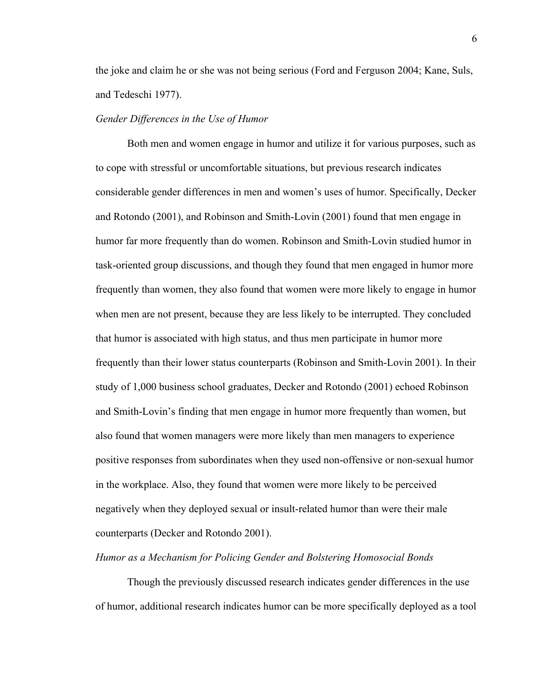the joke and claim he or she was not being serious (Ford and Ferguson 2004; Kane, Suls, and Tedeschi 1977).

#### *Gender Differences in the Use of Humor*

Both men and women engage in humor and utilize it for various purposes, such as to cope with stressful or uncomfortable situations, but previous research indicates considerable gender differences in men and women's uses of humor. Specifically, Decker and Rotondo (2001), and Robinson and Smith-Lovin (2001) found that men engage in humor far more frequently than do women. Robinson and Smith-Lovin studied humor in task-oriented group discussions, and though they found that men engaged in humor more frequently than women, they also found that women were more likely to engage in humor when men are not present, because they are less likely to be interrupted. They concluded that humor is associated with high status, and thus men participate in humor more frequently than their lower status counterparts (Robinson and Smith-Lovin 2001). In their study of 1,000 business school graduates, Decker and Rotondo (2001) echoed Robinson and Smith-Lovin's finding that men engage in humor more frequently than women, but also found that women managers were more likely than men managers to experience positive responses from subordinates when they used non-offensive or non-sexual humor in the workplace. Also, they found that women were more likely to be perceived negatively when they deployed sexual or insult-related humor than were their male counterparts (Decker and Rotondo 2001).

*Humor as a Mechanism for Policing Gender and Bolstering Homosocial Bonds*

Though the previously discussed research indicates gender differences in the use of humor, additional research indicates humor can be more specifically deployed as a tool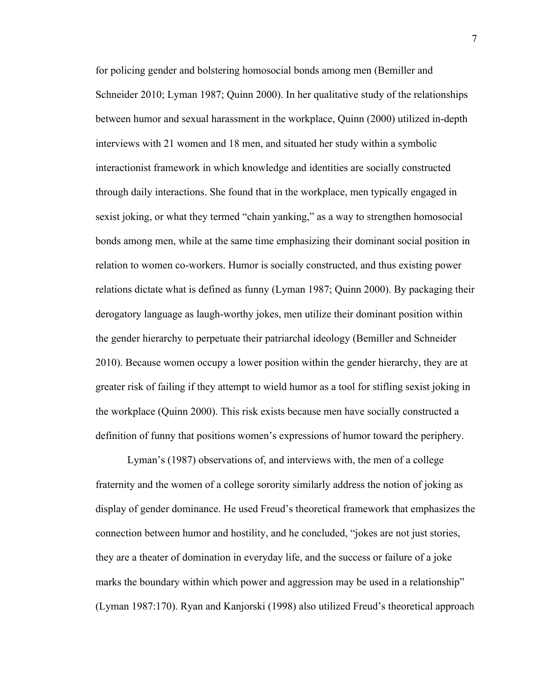for policing gender and bolstering homosocial bonds among men (Bemiller and Schneider 2010; Lyman 1987; Quinn 2000). In her qualitative study of the relationships between humor and sexual harassment in the workplace, Quinn (2000) utilized in-depth interviews with 21 women and 18 men, and situated her study within a symbolic interactionist framework in which knowledge and identities are socially constructed through daily interactions. She found that in the workplace, men typically engaged in sexist joking, or what they termed "chain yanking," as a way to strengthen homosocial bonds among men, while at the same time emphasizing their dominant social position in relation to women co-workers. Humor is socially constructed, and thus existing power relations dictate what is defined as funny (Lyman 1987; Quinn 2000). By packaging their derogatory language as laugh-worthy jokes, men utilize their dominant position within the gender hierarchy to perpetuate their patriarchal ideology (Bemiller and Schneider 2010). Because women occupy a lower position within the gender hierarchy, they are at greater risk of failing if they attempt to wield humor as a tool for stifling sexist joking in the workplace (Quinn 2000). This risk exists because men have socially constructed a definition of funny that positions women's expressions of humor toward the periphery.

Lyman's (1987) observations of, and interviews with, the men of a college fraternity and the women of a college sorority similarly address the notion of joking as display of gender dominance. He used Freud's theoretical framework that emphasizes the connection between humor and hostility, and he concluded, "jokes are not just stories, they are a theater of domination in everyday life, and the success or failure of a joke marks the boundary within which power and aggression may be used in a relationship" (Lyman 1987:170). Ryan and Kanjorski (1998) also utilized Freud's theoretical approach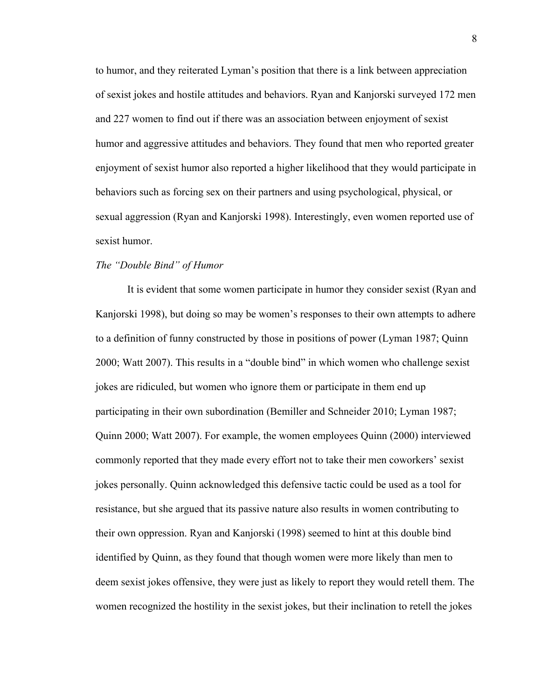to humor, and they reiterated Lyman's position that there is a link between appreciation of sexist jokes and hostile attitudes and behaviors. Ryan and Kanjorski surveyed 172 men and 227 women to find out if there was an association between enjoyment of sexist humor and aggressive attitudes and behaviors. They found that men who reported greater enjoyment of sexist humor also reported a higher likelihood that they would participate in behaviors such as forcing sex on their partners and using psychological, physical, or sexual aggression (Ryan and Kanjorski 1998). Interestingly, even women reported use of sexist humor.

#### *The "Double Bind" of Humor*

It is evident that some women participate in humor they consider sexist (Ryan and Kanjorski 1998), but doing so may be women's responses to their own attempts to adhere to a definition of funny constructed by those in positions of power (Lyman 1987; Quinn 2000; Watt 2007). This results in a "double bind" in which women who challenge sexist jokes are ridiculed, but women who ignore them or participate in them end up participating in their own subordination (Bemiller and Schneider 2010; Lyman 1987; Quinn 2000; Watt 2007). For example, the women employees Quinn (2000) interviewed commonly reported that they made every effort not to take their men coworkers' sexist jokes personally. Quinn acknowledged this defensive tactic could be used as a tool for resistance, but she argued that its passive nature also results in women contributing to their own oppression. Ryan and Kanjorski (1998) seemed to hint at this double bind identified by Quinn, as they found that though women were more likely than men to deem sexist jokes offensive, they were just as likely to report they would retell them. The women recognized the hostility in the sexist jokes, but their inclination to retell the jokes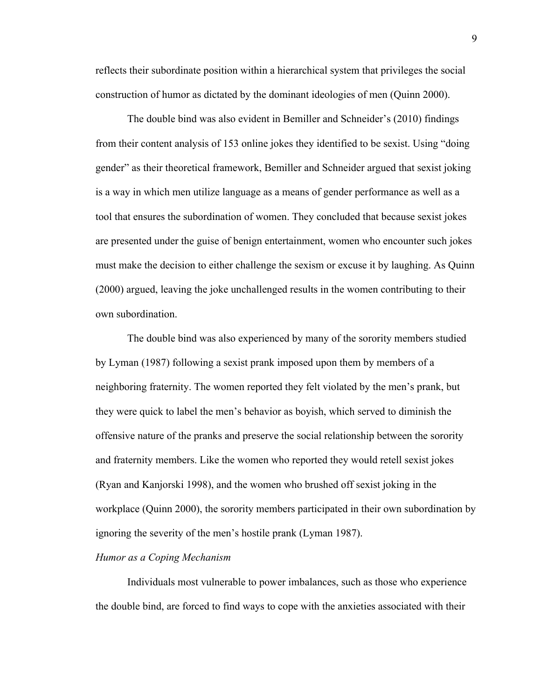reflects their subordinate position within a hierarchical system that privileges the social construction of humor as dictated by the dominant ideologies of men (Quinn 2000).

The double bind was also evident in Bemiller and Schneider's (2010) findings from their content analysis of 153 online jokes they identified to be sexist. Using "doing gender" as their theoretical framework, Bemiller and Schneider argued that sexist joking is a way in which men utilize language as a means of gender performance as well as a tool that ensures the subordination of women. They concluded that because sexist jokes are presented under the guise of benign entertainment, women who encounter such jokes must make the decision to either challenge the sexism or excuse it by laughing. As Quinn (2000) argued, leaving the joke unchallenged results in the women contributing to their own subordination.

The double bind was also experienced by many of the sorority members studied by Lyman (1987) following a sexist prank imposed upon them by members of a neighboring fraternity. The women reported they felt violated by the men's prank, but they were quick to label the men's behavior as boyish, which served to diminish the offensive nature of the pranks and preserve the social relationship between the sorority and fraternity members. Like the women who reported they would retell sexist jokes (Ryan and Kanjorski 1998), and the women who brushed off sexist joking in the workplace (Quinn 2000), the sorority members participated in their own subordination by ignoring the severity of the men's hostile prank (Lyman 1987).

#### *Humor as a Coping Mechanism*

Individuals most vulnerable to power imbalances, such as those who experience the double bind, are forced to find ways to cope with the anxieties associated with their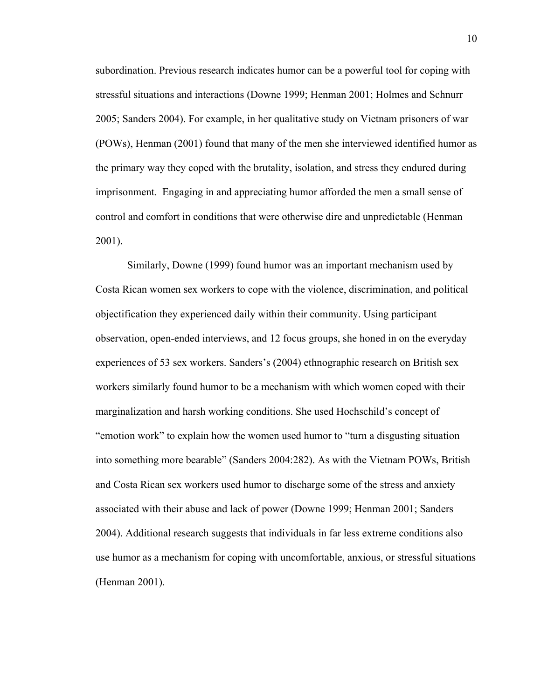subordination. Previous research indicates humor can be a powerful tool for coping with stressful situations and interactions (Downe 1999; Henman 2001; Holmes and Schnurr 2005; Sanders 2004). For example, in her qualitative study on Vietnam prisoners of war (POWs), Henman (2001) found that many of the men she interviewed identified humor as the primary way they coped with the brutality, isolation, and stress they endured during imprisonment. Engaging in and appreciating humor afforded the men a small sense of control and comfort in conditions that were otherwise dire and unpredictable (Henman 2001).

Similarly, Downe (1999) found humor was an important mechanism used by Costa Rican women sex workers to cope with the violence, discrimination, and political objectification they experienced daily within their community. Using participant observation, open-ended interviews, and 12 focus groups, she honed in on the everyday experiences of 53 sex workers. Sanders's (2004) ethnographic research on British sex workers similarly found humor to be a mechanism with which women coped with their marginalization and harsh working conditions. She used Hochschild's concept of "emotion work" to explain how the women used humor to "turn a disgusting situation into something more bearable" (Sanders 2004:282). As with the Vietnam POWs, British and Costa Rican sex workers used humor to discharge some of the stress and anxiety associated with their abuse and lack of power (Downe 1999; Henman 2001; Sanders 2004). Additional research suggests that individuals in far less extreme conditions also use humor as a mechanism for coping with uncomfortable, anxious, or stressful situations (Henman 2001).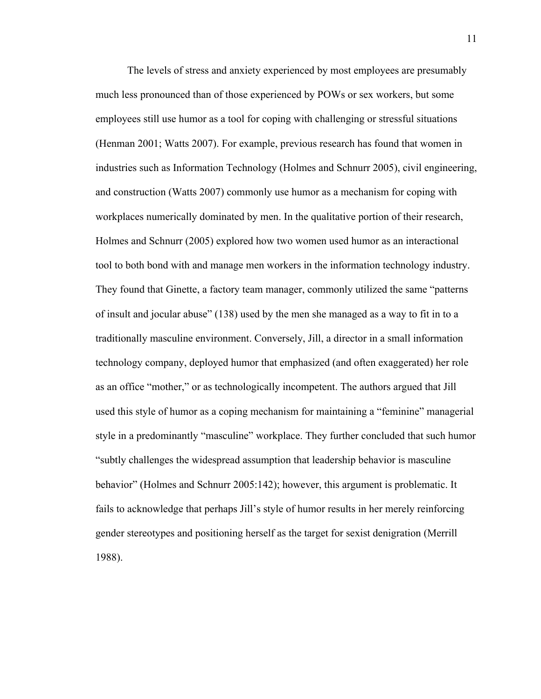The levels of stress and anxiety experienced by most employees are presumably much less pronounced than of those experienced by POWs or sex workers, but some employees still use humor as a tool for coping with challenging or stressful situations (Henman 2001; Watts 2007). For example, previous research has found that women in industries such as Information Technology (Holmes and Schnurr 2005), civil engineering, and construction (Watts 2007) commonly use humor as a mechanism for coping with workplaces numerically dominated by men. In the qualitative portion of their research, Holmes and Schnurr (2005) explored how two women used humor as an interactional tool to both bond with and manage men workers in the information technology industry. They found that Ginette, a factory team manager, commonly utilized the same "patterns of insult and jocular abuse" (138) used by the men she managed as a way to fit in to a traditionally masculine environment. Conversely, Jill, a director in a small information technology company, deployed humor that emphasized (and often exaggerated) her role as an office "mother," or as technologically incompetent. The authors argued that Jill used this style of humor as a coping mechanism for maintaining a "feminine" managerial style in a predominantly "masculine" workplace. They further concluded that such humor "subtly challenges the widespread assumption that leadership behavior is masculine behavior" (Holmes and Schnurr 2005:142); however, this argument is problematic. It fails to acknowledge that perhaps Jill's style of humor results in her merely reinforcing gender stereotypes and positioning herself as the target for sexist denigration (Merrill 1988).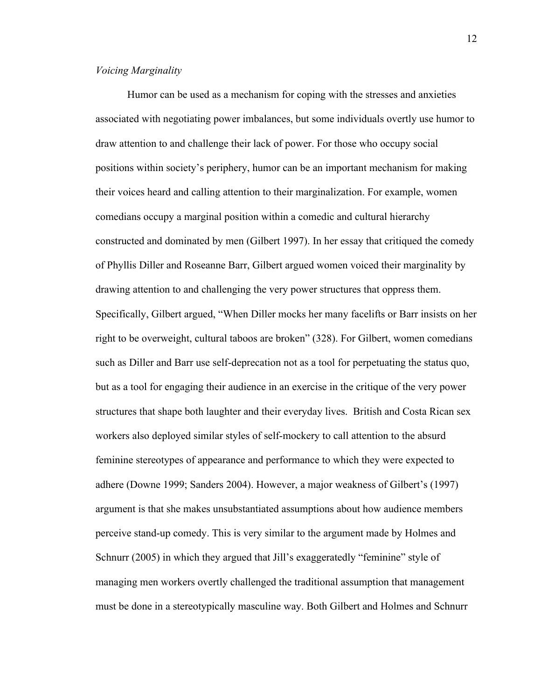#### *Voicing Marginality*

Humor can be used as a mechanism for coping with the stresses and anxieties associated with negotiating power imbalances, but some individuals overtly use humor to draw attention to and challenge their lack of power. For those who occupy social positions within society's periphery, humor can be an important mechanism for making their voices heard and calling attention to their marginalization. For example, women comedians occupy a marginal position within a comedic and cultural hierarchy constructed and dominated by men (Gilbert 1997). In her essay that critiqued the comedy of Phyllis Diller and Roseanne Barr, Gilbert argued women voiced their marginality by drawing attention to and challenging the very power structures that oppress them. Specifically, Gilbert argued, "When Diller mocks her many facelifts or Barr insists on her right to be overweight, cultural taboos are broken" (328). For Gilbert, women comedians such as Diller and Barr use self-deprecation not as a tool for perpetuating the status quo, but as a tool for engaging their audience in an exercise in the critique of the very power structures that shape both laughter and their everyday lives. British and Costa Rican sex workers also deployed similar styles of self-mockery to call attention to the absurd feminine stereotypes of appearance and performance to which they were expected to adhere (Downe 1999; Sanders 2004). However, a major weakness of Gilbert's (1997) argument is that she makes unsubstantiated assumptions about how audience members perceive stand-up comedy. This is very similar to the argument made by Holmes and Schnurr (2005) in which they argued that Jill's exaggeratedly "feminine" style of managing men workers overtly challenged the traditional assumption that management must be done in a stereotypically masculine way. Both Gilbert and Holmes and Schnurr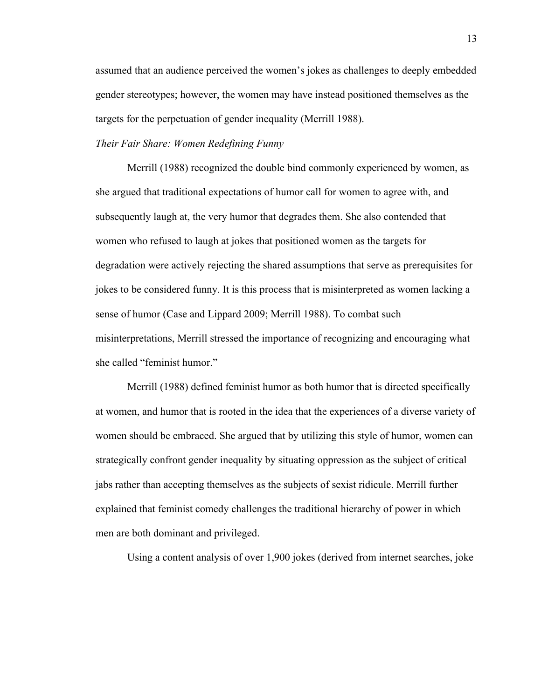assumed that an audience perceived the women's jokes as challenges to deeply embedded gender stereotypes; however, the women may have instead positioned themselves as the targets for the perpetuation of gender inequality (Merrill 1988).

#### *Their Fair Share: Women Redefining Funny*

Merrill (1988) recognized the double bind commonly experienced by women, as she argued that traditional expectations of humor call for women to agree with, and subsequently laugh at, the very humor that degrades them. She also contended that women who refused to laugh at jokes that positioned women as the targets for degradation were actively rejecting the shared assumptions that serve as prerequisites for jokes to be considered funny. It is this process that is misinterpreted as women lacking a sense of humor (Case and Lippard 2009; Merrill 1988). To combat such misinterpretations, Merrill stressed the importance of recognizing and encouraging what she called "feminist humor."

Merrill (1988) defined feminist humor as both humor that is directed specifically at women, and humor that is rooted in the idea that the experiences of a diverse variety of women should be embraced. She argued that by utilizing this style of humor, women can strategically confront gender inequality by situating oppression as the subject of critical jabs rather than accepting themselves as the subjects of sexist ridicule. Merrill further explained that feminist comedy challenges the traditional hierarchy of power in which men are both dominant and privileged.

Using a content analysis of over 1,900 jokes (derived from internet searches, joke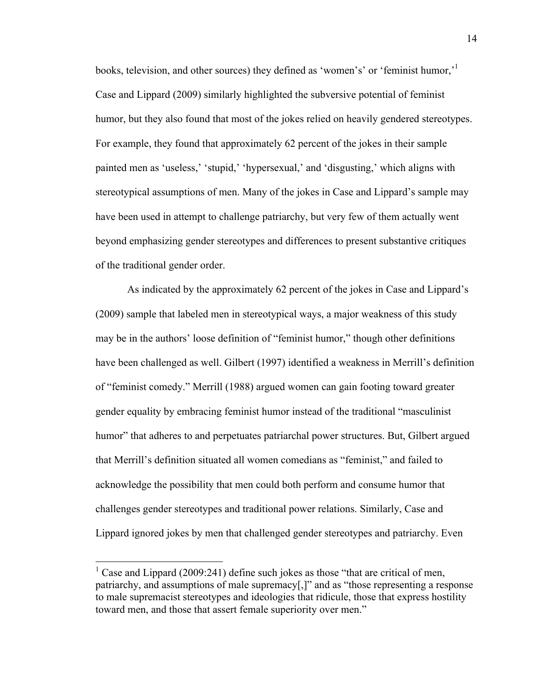books, television, and other sources) they defined as 'women's' or 'feminist humor,'1 Case and Lippard (2009) similarly highlighted the subversive potential of feminist humor, but they also found that most of the jokes relied on heavily gendered stereotypes. For example, they found that approximately 62 percent of the jokes in their sample painted men as 'useless,' 'stupid,' 'hypersexual,' and 'disgusting,' which aligns with stereotypical assumptions of men. Many of the jokes in Case and Lippard's sample may have been used in attempt to challenge patriarchy, but very few of them actually went beyond emphasizing gender stereotypes and differences to present substantive critiques of the traditional gender order.

As indicated by the approximately 62 percent of the jokes in Case and Lippard's (2009) sample that labeled men in stereotypical ways, a major weakness of this study may be in the authors' loose definition of "feminist humor," though other definitions have been challenged as well. Gilbert (1997) identified a weakness in Merrill's definition of "feminist comedy." Merrill (1988) argued women can gain footing toward greater gender equality by embracing feminist humor instead of the traditional "masculinist humor" that adheres to and perpetuates patriarchal power structures. But, Gilbert argued that Merrill's definition situated all women comedians as "feminist," and failed to acknowledge the possibility that men could both perform and consume humor that challenges gender stereotypes and traditional power relations. Similarly, Case and Lippard ignored jokes by men that challenged gender stereotypes and patriarchy. Even

Case and Lippard (2009:241) define such jokes as those "that are critical of men, patriarchy, and assumptions of male supremacy[,]" and as "those representing a response to male supremacist stereotypes and ideologies that ridicule, those that express hostility toward men, and those that assert female superiority over men."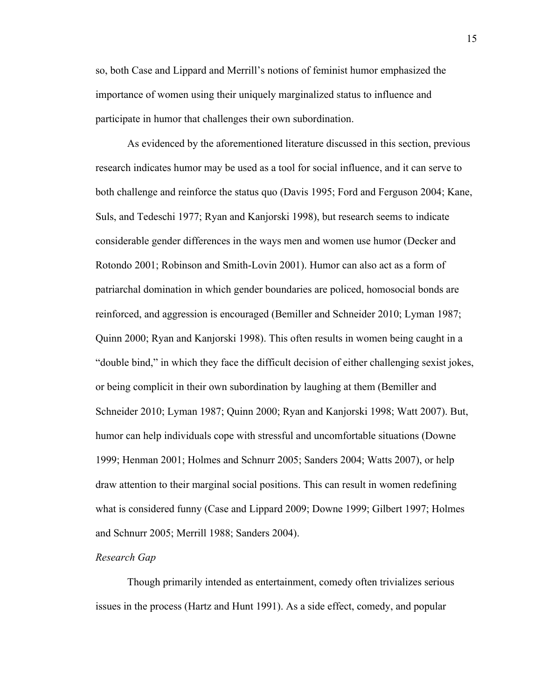so, both Case and Lippard and Merrill's notions of feminist humor emphasized the importance of women using their uniquely marginalized status to influence and participate in humor that challenges their own subordination.

As evidenced by the aforementioned literature discussed in this section, previous research indicates humor may be used as a tool for social influence, and it can serve to both challenge and reinforce the status quo (Davis 1995; Ford and Ferguson 2004; Kane, Suls, and Tedeschi 1977; Ryan and Kanjorski 1998), but research seems to indicate considerable gender differences in the ways men and women use humor (Decker and Rotondo 2001; Robinson and Smith-Lovin 2001). Humor can also act as a form of patriarchal domination in which gender boundaries are policed, homosocial bonds are reinforced, and aggression is encouraged (Bemiller and Schneider 2010; Lyman 1987; Quinn 2000; Ryan and Kanjorski 1998). This often results in women being caught in a "double bind," in which they face the difficult decision of either challenging sexist jokes, or being complicit in their own subordination by laughing at them (Bemiller and Schneider 2010; Lyman 1987; Quinn 2000; Ryan and Kanjorski 1998; Watt 2007). But, humor can help individuals cope with stressful and uncomfortable situations (Downe 1999; Henman 2001; Holmes and Schnurr 2005; Sanders 2004; Watts 2007), or help draw attention to their marginal social positions. This can result in women redefining what is considered funny (Case and Lippard 2009; Downe 1999; Gilbert 1997; Holmes and Schnurr 2005; Merrill 1988; Sanders 2004).

#### *Research Gap*

Though primarily intended as entertainment, comedy often trivializes serious issues in the process (Hartz and Hunt 1991). As a side effect, comedy, and popular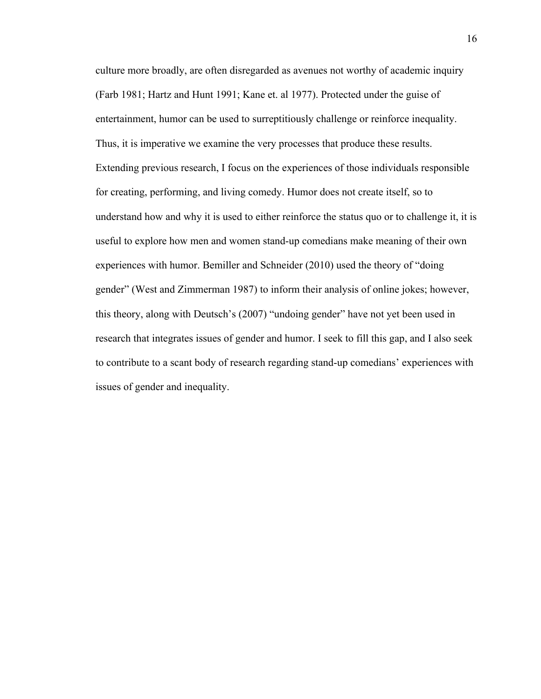culture more broadly, are often disregarded as avenues not worthy of academic inquiry (Farb 1981; Hartz and Hunt 1991; Kane et. al 1977). Protected under the guise of entertainment, humor can be used to surreptitiously challenge or reinforce inequality. Thus, it is imperative we examine the very processes that produce these results. Extending previous research, I focus on the experiences of those individuals responsible for creating, performing, and living comedy. Humor does not create itself, so to understand how and why it is used to either reinforce the status quo or to challenge it, it is useful to explore how men and women stand-up comedians make meaning of their own experiences with humor. Bemiller and Schneider (2010) used the theory of "doing gender" (West and Zimmerman 1987) to inform their analysis of online jokes; however, this theory, along with Deutsch's (2007) "undoing gender" have not yet been used in research that integrates issues of gender and humor. I seek to fill this gap, and I also seek to contribute to a scant body of research regarding stand-up comedians' experiences with issues of gender and inequality.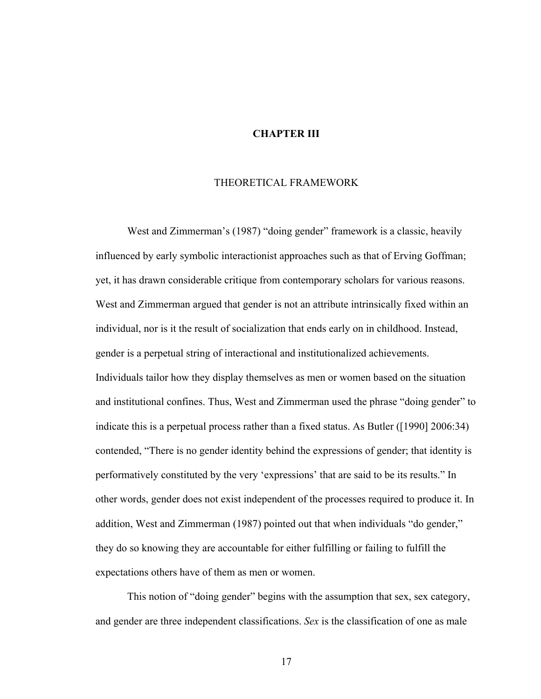#### **CHAPTER III**

#### THEORETICAL FRAMEWORK

West and Zimmerman's (1987) "doing gender" framework is a classic, heavily influenced by early symbolic interactionist approaches such as that of Erving Goffman; yet, it has drawn considerable critique from contemporary scholars for various reasons. West and Zimmerman argued that gender is not an attribute intrinsically fixed within an individual, nor is it the result of socialization that ends early on in childhood. Instead, gender is a perpetual string of interactional and institutionalized achievements. Individuals tailor how they display themselves as men or women based on the situation and institutional confines. Thus, West and Zimmerman used the phrase "doing gender" to indicate this is a perpetual process rather than a fixed status. As Butler ([1990] 2006:34) contended, "There is no gender identity behind the expressions of gender; that identity is performatively constituted by the very 'expressions' that are said to be its results." In other words, gender does not exist independent of the processes required to produce it. In addition, West and Zimmerman (1987) pointed out that when individuals "do gender," they do so knowing they are accountable for either fulfilling or failing to fulfill the expectations others have of them as men or women.

This notion of "doing gender" begins with the assumption that sex, sex category, and gender are three independent classifications. *Sex* is the classification of one as male

17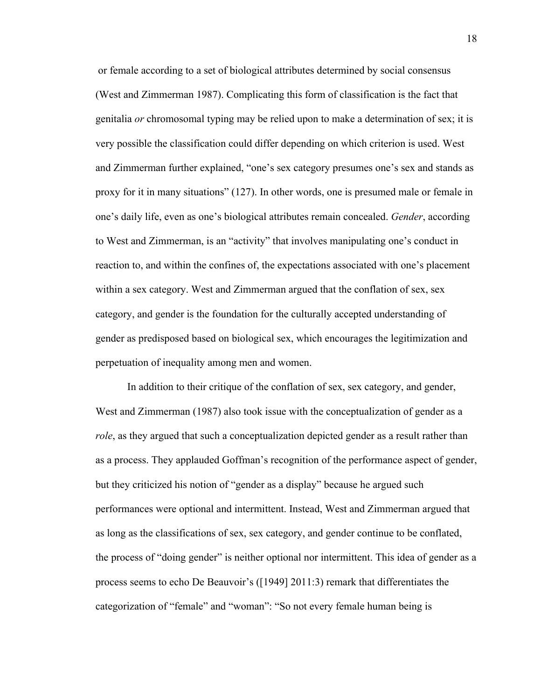or female according to a set of biological attributes determined by social consensus (West and Zimmerman 1987). Complicating this form of classification is the fact that genitalia *or* chromosomal typing may be relied upon to make a determination of sex; it is very possible the classification could differ depending on which criterion is used. West and Zimmerman further explained, "one's sex category presumes one's sex and stands as proxy for it in many situations" (127). In other words, one is presumed male or female in one's daily life, even as one's biological attributes remain concealed. *Gender*, according to West and Zimmerman, is an "activity" that involves manipulating one's conduct in reaction to, and within the confines of, the expectations associated with one's placement within a sex category. West and Zimmerman argued that the conflation of sex, sex category, and gender is the foundation for the culturally accepted understanding of gender as predisposed based on biological sex, which encourages the legitimization and perpetuation of inequality among men and women.

In addition to their critique of the conflation of sex, sex category, and gender, West and Zimmerman (1987) also took issue with the conceptualization of gender as a *role*, as they argued that such a conceptualization depicted gender as a result rather than as a process. They applauded Goffman's recognition of the performance aspect of gender, but they criticized his notion of "gender as a display" because he argued such performances were optional and intermittent. Instead, West and Zimmerman argued that as long as the classifications of sex, sex category, and gender continue to be conflated, the process of "doing gender" is neither optional nor intermittent. This idea of gender as a process seems to echo De Beauvoir's ([1949] 2011:3) remark that differentiates the categorization of "female" and "woman": "So not every female human being is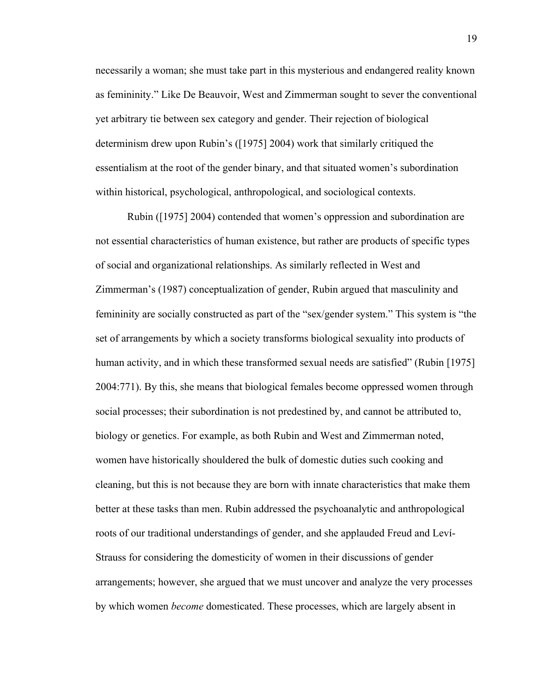necessarily a woman; she must take part in this mysterious and endangered reality known as femininity." Like De Beauvoir, West and Zimmerman sought to sever the conventional yet arbitrary tie between sex category and gender. Their rejection of biological determinism drew upon Rubin's ([1975] 2004) work that similarly critiqued the essentialism at the root of the gender binary, and that situated women's subordination within historical, psychological, anthropological, and sociological contexts.

Rubin ([1975] 2004) contended that women's oppression and subordination are not essential characteristics of human existence, but rather are products of specific types of social and organizational relationships. As similarly reflected in West and Zimmerman's (1987) conceptualization of gender, Rubin argued that masculinity and femininity are socially constructed as part of the "sex/gender system." This system is "the set of arrangements by which a society transforms biological sexuality into products of human activity, and in which these transformed sexual needs are satisfied" (Rubin [1975] 2004:771). By this, she means that biological females become oppressed women through social processes; their subordination is not predestined by, and cannot be attributed to, biology or genetics. For example, as both Rubin and West and Zimmerman noted, women have historically shouldered the bulk of domestic duties such cooking and cleaning, but this is not because they are born with innate characteristics that make them better at these tasks than men. Rubin addressed the psychoanalytic and anthropological roots of our traditional understandings of gender, and she applauded Freud and Leví-Strauss for considering the domesticity of women in their discussions of gender arrangements; however, she argued that we must uncover and analyze the very processes by which women *become* domesticated. These processes, which are largely absent in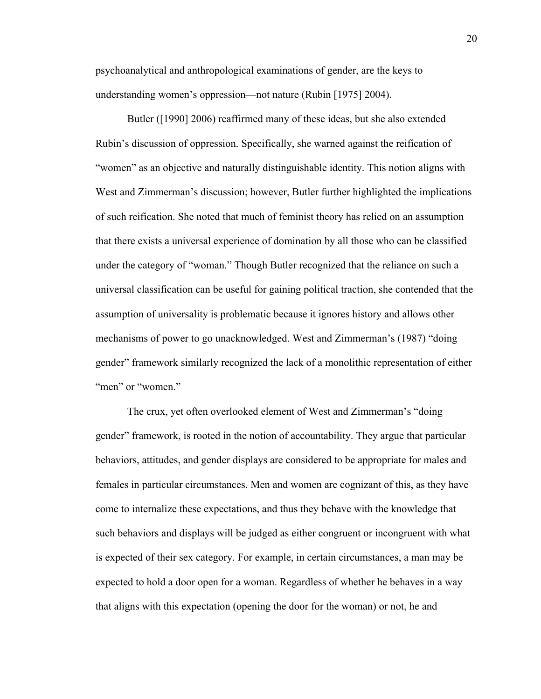psychoanalytical and anthropological examinations of gender, are the keys to understanding women's oppression—not nature (Rubin [1975] 2004).

Butler ([1990] 2006) reaffirmed many of these ideas, but she also extended Rubin's discussion of oppression. Specifically, she warned against the reification of "women" as an objective and naturally distinguishable identity. This notion aligns with West and Zimmerman's discussion; however, Butler further highlighted the implications of such reification. She noted that much of feminist theory has relied on an assumption that there exists a universal experience of domination by all those who can be classified under the category of "woman." Though Butler recognized that the reliance on such a universal classification can be useful for gaining political traction, she contended that the assumption of universality is problematic because it ignores history and allows other mechanisms of power to go unacknowledged. West and Zimmerman's (1987) "doing gender" framework similarly recognized the lack of a monolithic representation of either "men" or "women."

The crux, yet often overlooked element of West and Zimmerman's "doing gender" framework, is rooted in the notion of accountability. They argue that particular behaviors, attitudes, and gender displays are considered to be appropriate for males and females in particular circumstances. Men and women are cognizant of this, as they have come to internalize these expectations, and thus they behave with the knowledge that such behaviors and displays will be judged as either congruent or incongruent with what is expected of their sex category. For example, in certain circumstances, a man may be expected to hold a door open for a woman. Regardless of whether he behaves in a way that aligns with this expectation (opening the door for the woman) or not, he and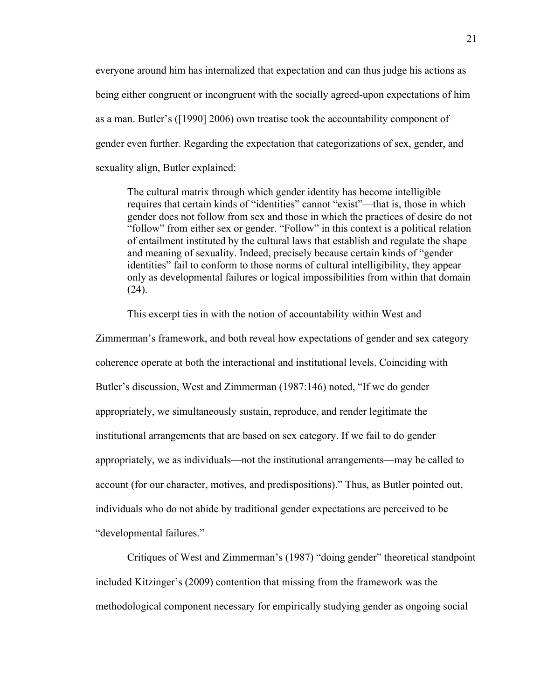everyone around him has internalized that expectation and can thus judge his actions as being either congruent or incongruent with the socially agreed-upon expectations of him as a man. Butler's ([1990] 2006) own treatise took the accountability component of gender even further. Regarding the expectation that categorizations of sex, gender, and sexuality align, Butler explained:

The cultural matrix through which gender identity has become intelligible requires that certain kinds of "identities" cannot "exist"—that is, those in which gender does not follow from sex and those in which the practices of desire do not "follow" from either sex or gender. "Follow" in this context is a political relation of entailment instituted by the cultural laws that establish and regulate the shape and meaning of sexuality. Indeed, precisely because certain kinds of "gender identities" fail to conform to those norms of cultural intelligibility, they appear only as developmental failures or logical impossibilities from within that domain  $(24)$ .

This excerpt ties in with the notion of accountability within West and

Zimmerman's framework, and both reveal how expectations of gender and sex category coherence operate at both the interactional and institutional levels. Coinciding with Butler's discussion, West and Zimmerman (1987:146) noted, "If we do gender appropriately, we simultaneously sustain, reproduce, and render legitimate the institutional arrangements that are based on sex category. If we fail to do gender appropriately, we as individuals—not the institutional arrangements—may be called to account (for our character, motives, and predispositions)." Thus, as Butler pointed out, individuals who do not abide by traditional gender expectations are perceived to be "developmental failures."

Critiques of West and Zimmerman's (1987) "doing gender" theoretical standpoint included Kitzinger's (2009) contention that missing from the framework was the methodological component necessary for empirically studying gender as ongoing social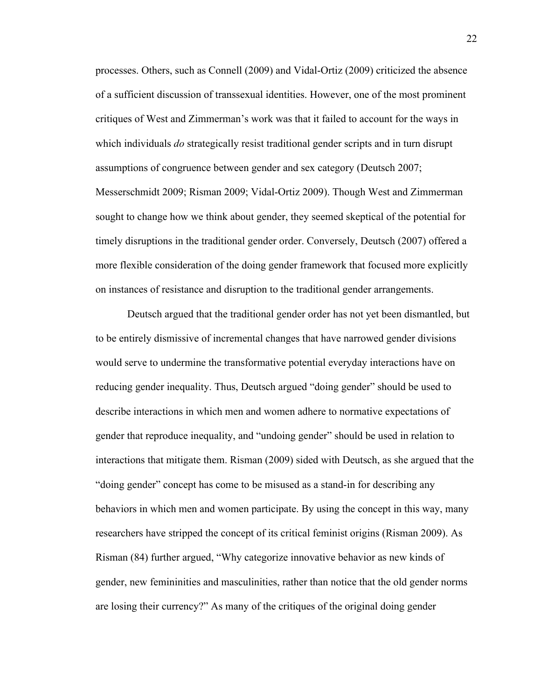processes. Others, such as Connell (2009) and Vidal-Ortiz (2009) criticized the absence of a sufficient discussion of transsexual identities. However, one of the most prominent critiques of West and Zimmerman's work was that it failed to account for the ways in which individuals *do* strategically resist traditional gender scripts and in turn disrupt assumptions of congruence between gender and sex category (Deutsch 2007; Messerschmidt 2009; Risman 2009; Vidal-Ortiz 2009). Though West and Zimmerman sought to change how we think about gender, they seemed skeptical of the potential for timely disruptions in the traditional gender order. Conversely, Deutsch (2007) offered a more flexible consideration of the doing gender framework that focused more explicitly on instances of resistance and disruption to the traditional gender arrangements.

Deutsch argued that the traditional gender order has not yet been dismantled, but to be entirely dismissive of incremental changes that have narrowed gender divisions would serve to undermine the transformative potential everyday interactions have on reducing gender inequality. Thus, Deutsch argued "doing gender" should be used to describe interactions in which men and women adhere to normative expectations of gender that reproduce inequality, and "undoing gender" should be used in relation to interactions that mitigate them. Risman (2009) sided with Deutsch, as she argued that the "doing gender" concept has come to be misused as a stand-in for describing any behaviors in which men and women participate. By using the concept in this way, many researchers have stripped the concept of its critical feminist origins (Risman 2009). As Risman (84) further argued, "Why categorize innovative behavior as new kinds of gender, new femininities and masculinities, rather than notice that the old gender norms are losing their currency?" As many of the critiques of the original doing gender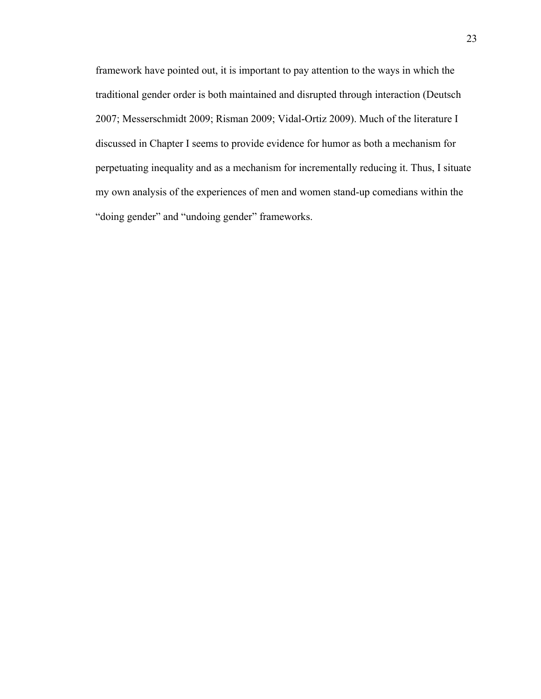framework have pointed out, it is important to pay attention to the ways in which the traditional gender order is both maintained and disrupted through interaction (Deutsch 2007; Messerschmidt 2009; Risman 2009; Vidal-Ortiz 2009). Much of the literature I discussed in Chapter I seems to provide evidence for humor as both a mechanism for perpetuating inequality and as a mechanism for incrementally reducing it. Thus, I situate my own analysis of the experiences of men and women stand-up comedians within the "doing gender" and "undoing gender" frameworks.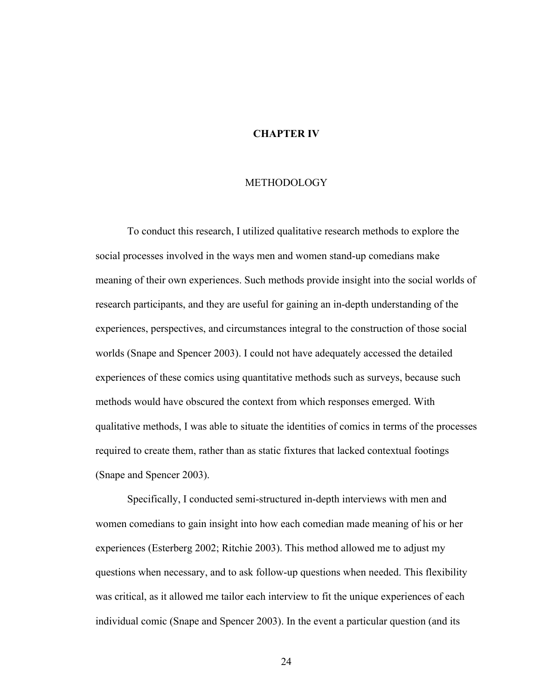#### **CHAPTER IV**

#### METHODOLOGY

To conduct this research, I utilized qualitative research methods to explore the social processes involved in the ways men and women stand-up comedians make meaning of their own experiences. Such methods provide insight into the social worlds of research participants, and they are useful for gaining an in-depth understanding of the experiences, perspectives, and circumstances integral to the construction of those social worlds (Snape and Spencer 2003). I could not have adequately accessed the detailed experiences of these comics using quantitative methods such as surveys, because such methods would have obscured the context from which responses emerged. With qualitative methods, I was able to situate the identities of comics in terms of the processes required to create them, rather than as static fixtures that lacked contextual footings (Snape and Spencer 2003).

Specifically, I conducted semi-structured in-depth interviews with men and women comedians to gain insight into how each comedian made meaning of his or her experiences (Esterberg 2002; Ritchie 2003). This method allowed me to adjust my questions when necessary, and to ask follow-up questions when needed. This flexibility was critical, as it allowed me tailor each interview to fit the unique experiences of each individual comic (Snape and Spencer 2003). In the event a particular question (and its

24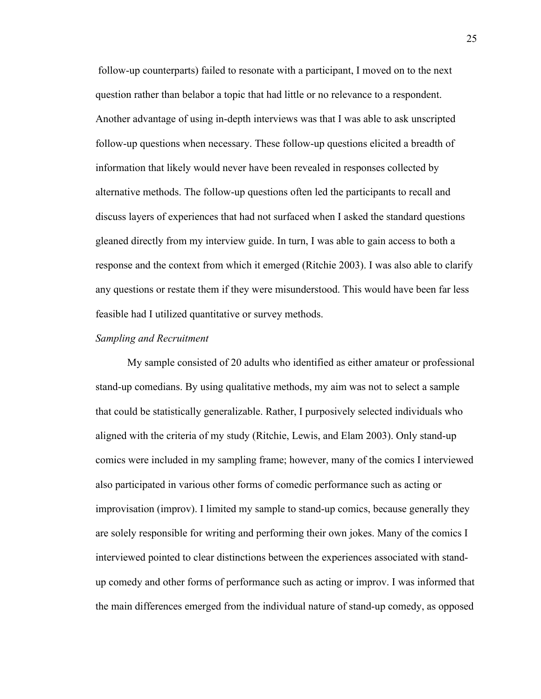follow-up counterparts) failed to resonate with a participant, I moved on to the next question rather than belabor a topic that had little or no relevance to a respondent. Another advantage of using in-depth interviews was that I was able to ask unscripted follow-up questions when necessary. These follow-up questions elicited a breadth of information that likely would never have been revealed in responses collected by alternative methods. The follow-up questions often led the participants to recall and discuss layers of experiences that had not surfaced when I asked the standard questions gleaned directly from my interview guide. In turn, I was able to gain access to both a response and the context from which it emerged (Ritchie 2003). I was also able to clarify any questions or restate them if they were misunderstood. This would have been far less feasible had I utilized quantitative or survey methods.

#### *Sampling and Recruitment*

My sample consisted of 20 adults who identified as either amateur or professional stand-up comedians. By using qualitative methods, my aim was not to select a sample that could be statistically generalizable. Rather, I purposively selected individuals who aligned with the criteria of my study (Ritchie, Lewis, and Elam 2003). Only stand-up comics were included in my sampling frame; however, many of the comics I interviewed also participated in various other forms of comedic performance such as acting or improvisation (improv). I limited my sample to stand-up comics, because generally they are solely responsible for writing and performing their own jokes. Many of the comics I interviewed pointed to clear distinctions between the experiences associated with standup comedy and other forms of performance such as acting or improv. I was informed that the main differences emerged from the individual nature of stand-up comedy, as opposed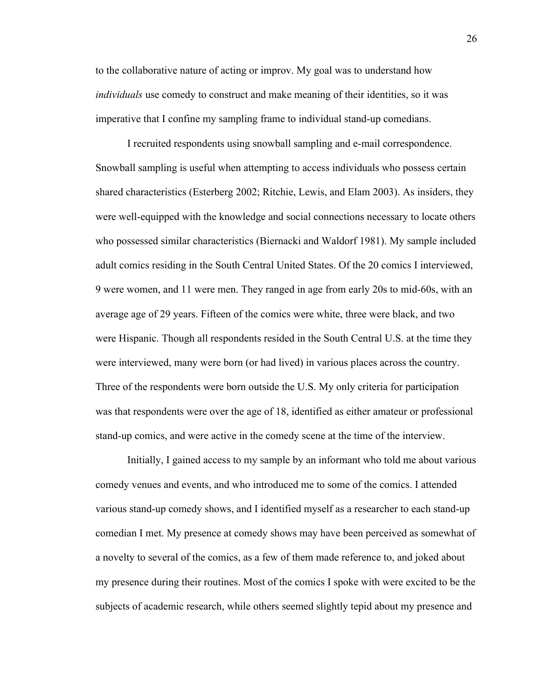to the collaborative nature of acting or improv. My goal was to understand how *individuals* use comedy to construct and make meaning of their identities, so it was imperative that I confine my sampling frame to individual stand-up comedians.

I recruited respondents using snowball sampling and e-mail correspondence. Snowball sampling is useful when attempting to access individuals who possess certain shared characteristics (Esterberg 2002; Ritchie, Lewis, and Elam 2003). As insiders, they were well-equipped with the knowledge and social connections necessary to locate others who possessed similar characteristics (Biernacki and Waldorf 1981). My sample included adult comics residing in the South Central United States. Of the 20 comics I interviewed, 9 were women, and 11 were men. They ranged in age from early 20s to mid-60s, with an average age of 29 years. Fifteen of the comics were white, three were black, and two were Hispanic. Though all respondents resided in the South Central U.S. at the time they were interviewed, many were born (or had lived) in various places across the country. Three of the respondents were born outside the U.S. My only criteria for participation was that respondents were over the age of 18, identified as either amateur or professional stand-up comics, and were active in the comedy scene at the time of the interview.

Initially, I gained access to my sample by an informant who told me about various comedy venues and events, and who introduced me to some of the comics. I attended various stand-up comedy shows, and I identified myself as a researcher to each stand-up comedian I met. My presence at comedy shows may have been perceived as somewhat of a novelty to several of the comics, as a few of them made reference to, and joked about my presence during their routines. Most of the comics I spoke with were excited to be the subjects of academic research, while others seemed slightly tepid about my presence and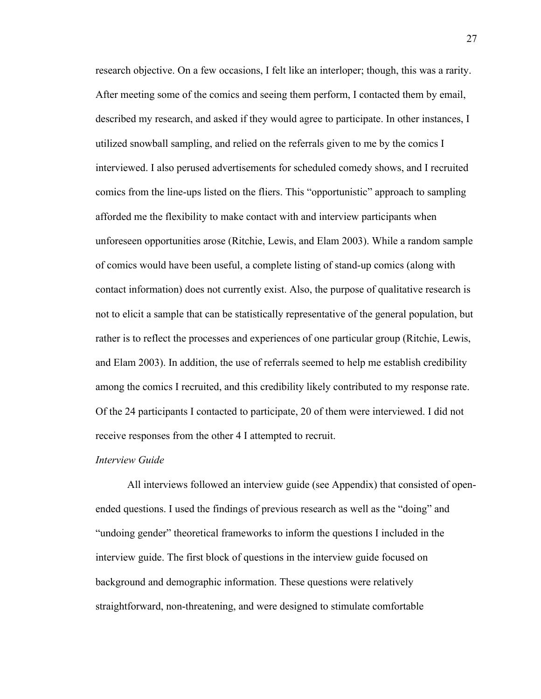research objective. On a few occasions, I felt like an interloper; though, this was a rarity. After meeting some of the comics and seeing them perform, I contacted them by email, described my research, and asked if they would agree to participate. In other instances, I utilized snowball sampling, and relied on the referrals given to me by the comics I interviewed. I also perused advertisements for scheduled comedy shows, and I recruited comics from the line-ups listed on the fliers. This "opportunistic" approach to sampling afforded me the flexibility to make contact with and interview participants when unforeseen opportunities arose (Ritchie, Lewis, and Elam 2003). While a random sample of comics would have been useful, a complete listing of stand-up comics (along with contact information) does not currently exist. Also, the purpose of qualitative research is not to elicit a sample that can be statistically representative of the general population, but rather is to reflect the processes and experiences of one particular group (Ritchie, Lewis, and Elam 2003). In addition, the use of referrals seemed to help me establish credibility among the comics I recruited, and this credibility likely contributed to my response rate. Of the 24 participants I contacted to participate, 20 of them were interviewed. I did not receive responses from the other 4 I attempted to recruit.

#### *Interview Guide*

All interviews followed an interview guide (see Appendix) that consisted of openended questions. I used the findings of previous research as well as the "doing" and "undoing gender" theoretical frameworks to inform the questions I included in the interview guide. The first block of questions in the interview guide focused on background and demographic information. These questions were relatively straightforward, non-threatening, and were designed to stimulate comfortable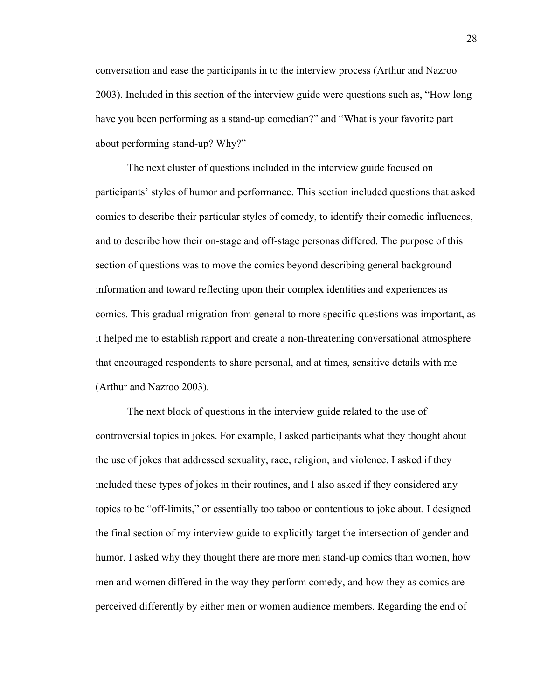conversation and ease the participants in to the interview process (Arthur and Nazroo 2003). Included in this section of the interview guide were questions such as, "How long have you been performing as a stand-up comedian?" and "What is your favorite part about performing stand-up? Why?"

The next cluster of questions included in the interview guide focused on participants' styles of humor and performance. This section included questions that asked comics to describe their particular styles of comedy, to identify their comedic influences, and to describe how their on-stage and off-stage personas differed. The purpose of this section of questions was to move the comics beyond describing general background information and toward reflecting upon their complex identities and experiences as comics. This gradual migration from general to more specific questions was important, as it helped me to establish rapport and create a non-threatening conversational atmosphere that encouraged respondents to share personal, and at times, sensitive details with me (Arthur and Nazroo 2003).

The next block of questions in the interview guide related to the use of controversial topics in jokes. For example, I asked participants what they thought about the use of jokes that addressed sexuality, race, religion, and violence. I asked if they included these types of jokes in their routines, and I also asked if they considered any topics to be "off-limits," or essentially too taboo or contentious to joke about. I designed the final section of my interview guide to explicitly target the intersection of gender and humor. I asked why they thought there are more men stand-up comics than women, how men and women differed in the way they perform comedy, and how they as comics are perceived differently by either men or women audience members. Regarding the end of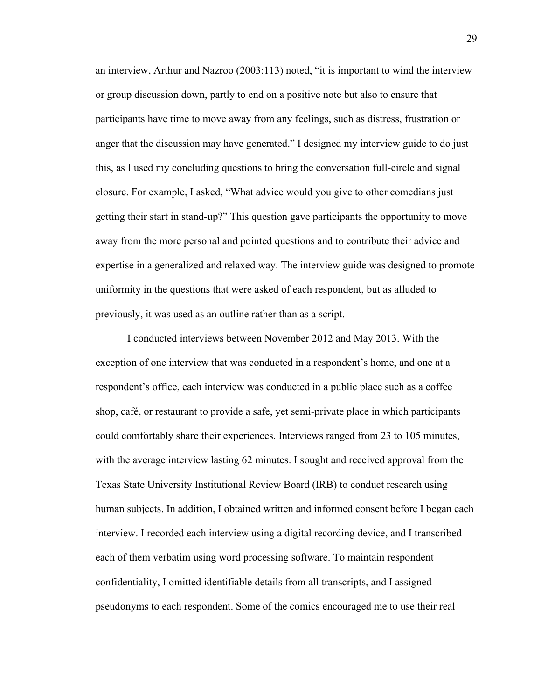an interview, Arthur and Nazroo (2003:113) noted, "it is important to wind the interview or group discussion down, partly to end on a positive note but also to ensure that participants have time to move away from any feelings, such as distress, frustration or anger that the discussion may have generated." I designed my interview guide to do just this, as I used my concluding questions to bring the conversation full-circle and signal closure. For example, I asked, "What advice would you give to other comedians just getting their start in stand-up?" This question gave participants the opportunity to move away from the more personal and pointed questions and to contribute their advice and expertise in a generalized and relaxed way. The interview guide was designed to promote uniformity in the questions that were asked of each respondent, but as alluded to previously, it was used as an outline rather than as a script.

I conducted interviews between November 2012 and May 2013. With the exception of one interview that was conducted in a respondent's home, and one at a respondent's office, each interview was conducted in a public place such as a coffee shop, café, or restaurant to provide a safe, yet semi-private place in which participants could comfortably share their experiences. Interviews ranged from 23 to 105 minutes, with the average interview lasting 62 minutes. I sought and received approval from the Texas State University Institutional Review Board (IRB) to conduct research using human subjects. In addition, I obtained written and informed consent before I began each interview. I recorded each interview using a digital recording device, and I transcribed each of them verbatim using word processing software. To maintain respondent confidentiality, I omitted identifiable details from all transcripts, and I assigned pseudonyms to each respondent. Some of the comics encouraged me to use their real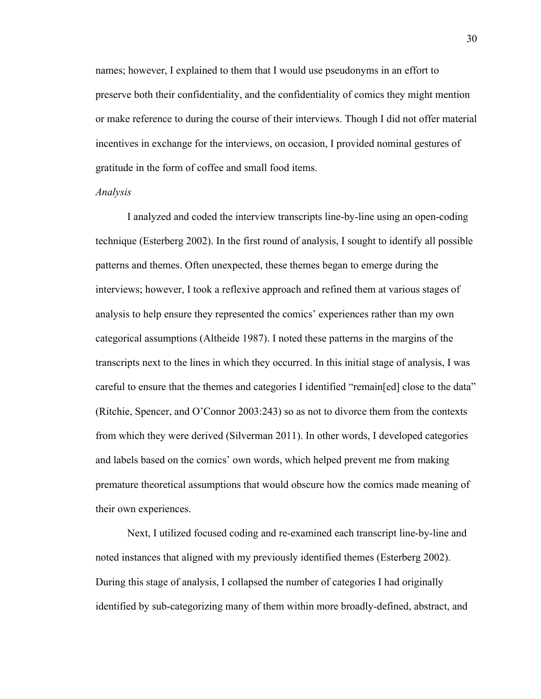names; however, I explained to them that I would use pseudonyms in an effort to preserve both their confidentiality, and the confidentiality of comics they might mention or make reference to during the course of their interviews. Though I did not offer material incentives in exchange for the interviews, on occasion, I provided nominal gestures of gratitude in the form of coffee and small food items.

#### *Analysis*

I analyzed and coded the interview transcripts line-by-line using an open-coding technique (Esterberg 2002). In the first round of analysis, I sought to identify all possible patterns and themes. Often unexpected, these themes began to emerge during the interviews; however, I took a reflexive approach and refined them at various stages of analysis to help ensure they represented the comics' experiences rather than my own categorical assumptions (Altheide 1987). I noted these patterns in the margins of the transcripts next to the lines in which they occurred. In this initial stage of analysis, I was careful to ensure that the themes and categories I identified "remain[ed] close to the data" (Ritchie, Spencer, and O'Connor 2003:243) so as not to divorce them from the contexts from which they were derived (Silverman 2011). In other words, I developed categories and labels based on the comics' own words, which helped prevent me from making premature theoretical assumptions that would obscure how the comics made meaning of their own experiences.

Next, I utilized focused coding and re-examined each transcript line-by-line and noted instances that aligned with my previously identified themes (Esterberg 2002). During this stage of analysis, I collapsed the number of categories I had originally identified by sub-categorizing many of them within more broadly-defined, abstract, and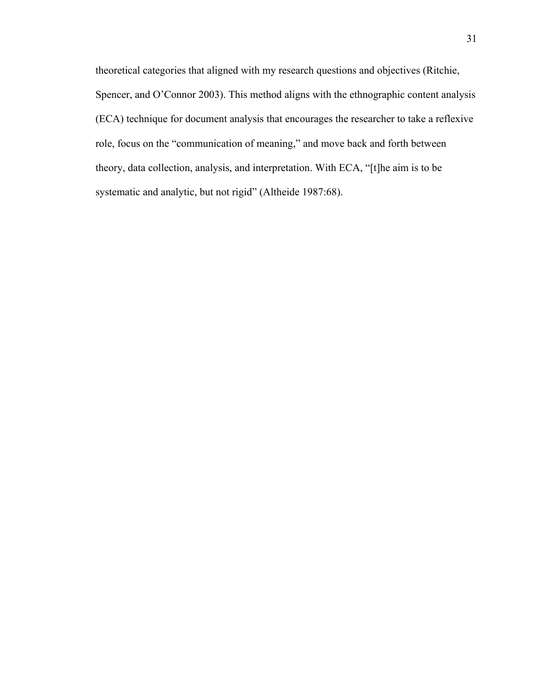theoretical categories that aligned with my research questions and objectives (Ritchie, Spencer, and O'Connor 2003). This method aligns with the ethnographic content analysis (ECA) technique for document analysis that encourages the researcher to take a reflexive role, focus on the "communication of meaning," and move back and forth between theory, data collection, analysis, and interpretation. With ECA, "[t]he aim is to be systematic and analytic, but not rigid" (Altheide 1987:68).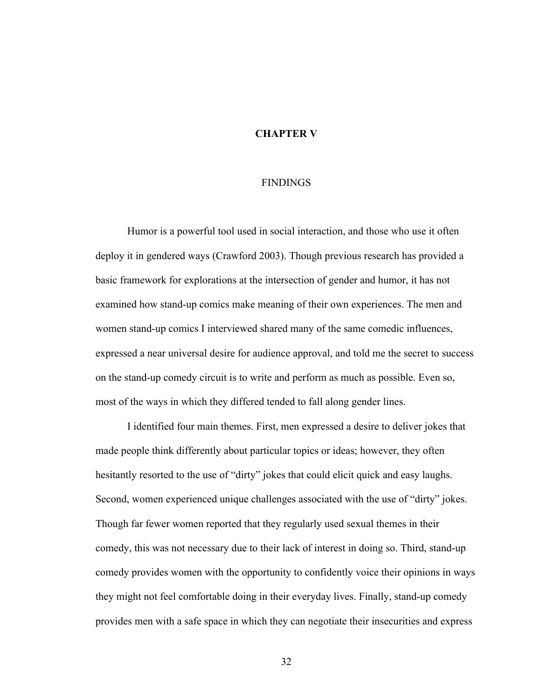## **CHAPTER V**

### FINDINGS

Humor is a powerful tool used in social interaction, and those who use it often deploy it in gendered ways (Crawford 2003). Though previous research has provided a basic framework for explorations at the intersection of gender and humor, it has not examined how stand-up comics make meaning of their own experiences. The men and women stand-up comics I interviewed shared many of the same comedic influences, expressed a near universal desire for audience approval, and told me the secret to success on the stand-up comedy circuit is to write and perform as much as possible. Even so, most of the ways in which they differed tended to fall along gender lines.

I identified four main themes. First, men expressed a desire to deliver jokes that made people think differently about particular topics or ideas; however, they often hesitantly resorted to the use of "dirty" jokes that could elicit quick and easy laughs. Second, women experienced unique challenges associated with the use of "dirty" jokes. Though far fewer women reported that they regularly used sexual themes in their comedy, this was not necessary due to their lack of interest in doing so. Third, stand-up comedy provides women with the opportunity to confidently voice their opinions in ways they might not feel comfortable doing in their everyday lives. Finally, stand-up comedy provides men with a safe space in which they can negotiate their insecurities and express

32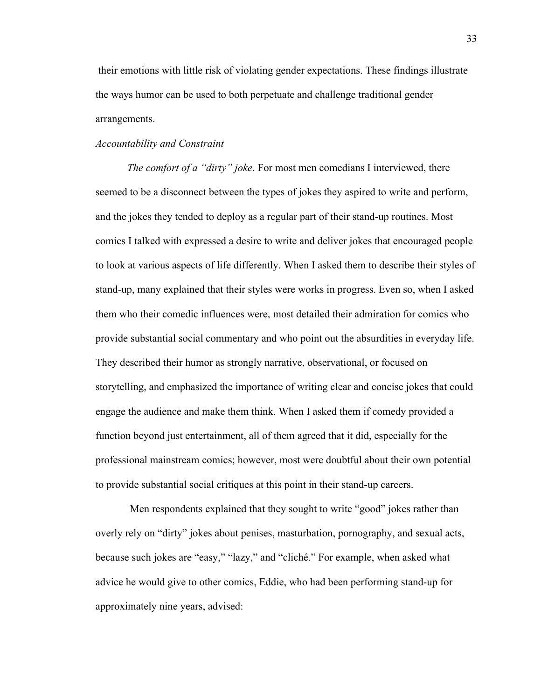their emotions with little risk of violating gender expectations. These findings illustrate the ways humor can be used to both perpetuate and challenge traditional gender arrangements.

### *Accountability and Constraint*

*The comfort of a "dirty" joke.* For most men comedians I interviewed, there seemed to be a disconnect between the types of jokes they aspired to write and perform, and the jokes they tended to deploy as a regular part of their stand-up routines. Most comics I talked with expressed a desire to write and deliver jokes that encouraged people to look at various aspects of life differently. When I asked them to describe their styles of stand-up, many explained that their styles were works in progress. Even so, when I asked them who their comedic influences were, most detailed their admiration for comics who provide substantial social commentary and who point out the absurdities in everyday life. They described their humor as strongly narrative, observational, or focused on storytelling, and emphasized the importance of writing clear and concise jokes that could engage the audience and make them think. When I asked them if comedy provided a function beyond just entertainment, all of them agreed that it did, especially for the professional mainstream comics; however, most were doubtful about their own potential to provide substantial social critiques at this point in their stand-up careers.

Men respondents explained that they sought to write "good" jokes rather than overly rely on "dirty" jokes about penises, masturbation, pornography, and sexual acts, because such jokes are "easy," "lazy," and "cliché." For example, when asked what advice he would give to other comics, Eddie, who had been performing stand-up for approximately nine years, advised: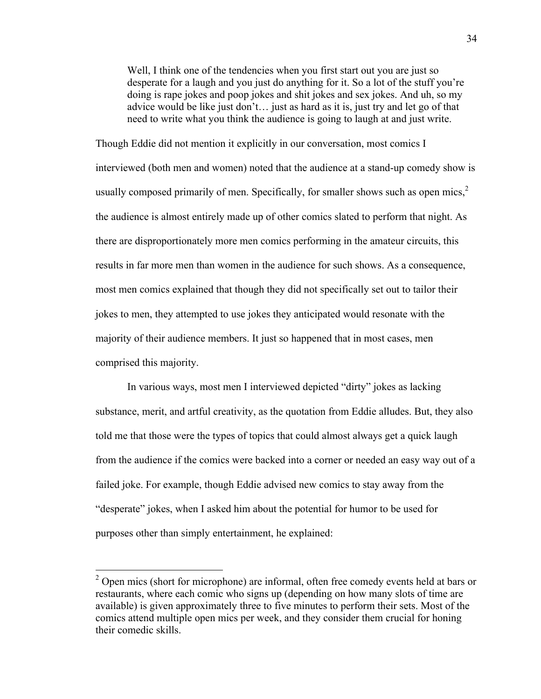Well, I think one of the tendencies when you first start out you are just so desperate for a laugh and you just do anything for it. So a lot of the stuff you're doing is rape jokes and poop jokes and shit jokes and sex jokes. And uh, so my advice would be like just don't… just as hard as it is, just try and let go of that need to write what you think the audience is going to laugh at and just write.

Though Eddie did not mention it explicitly in our conversation, most comics I interviewed (both men and women) noted that the audience at a stand-up comedy show is usually composed primarily of men. Specifically, for smaller shows such as open mics, $2\pi$ the audience is almost entirely made up of other comics slated to perform that night. As there are disproportionately more men comics performing in the amateur circuits, this results in far more men than women in the audience for such shows. As a consequence, most men comics explained that though they did not specifically set out to tailor their jokes to men, they attempted to use jokes they anticipated would resonate with the majority of their audience members. It just so happened that in most cases, men comprised this majority.

In various ways, most men I interviewed depicted "dirty" jokes as lacking substance, merit, and artful creativity, as the quotation from Eddie alludes. But, they also told me that those were the types of topics that could almost always get a quick laugh from the audience if the comics were backed into a corner or needed an easy way out of a failed joke. For example, though Eddie advised new comics to stay away from the "desperate" jokes, when I asked him about the potential for humor to be used for purposes other than simply entertainment, he explained:

 $2$  Open mics (short for microphone) are informal, often free comedy events held at bars or restaurants, where each comic who signs up (depending on how many slots of time are available) is given approximately three to five minutes to perform their sets. Most of the comics attend multiple open mics per week, and they consider them crucial for honing their comedic skills.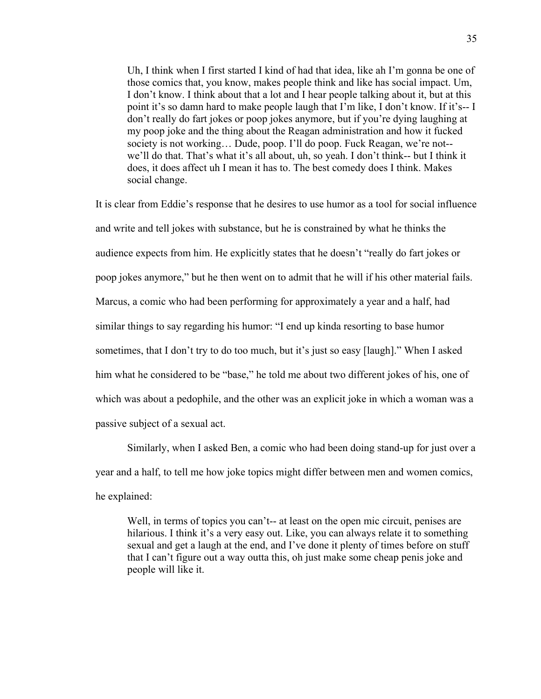Uh, I think when I first started I kind of had that idea, like ah I'm gonna be one of those comics that, you know, makes people think and like has social impact. Um, I don't know. I think about that a lot and I hear people talking about it, but at this point it's so damn hard to make people laugh that I'm like, I don't know. If it's-- I don't really do fart jokes or poop jokes anymore, but if you're dying laughing at my poop joke and the thing about the Reagan administration and how it fucked society is not working… Dude, poop. I'll do poop. Fuck Reagan, we're not- we'll do that. That's what it's all about, uh, so yeah. I don't think-- but I think it does, it does affect uh I mean it has to. The best comedy does I think. Makes social change.

It is clear from Eddie's response that he desires to use humor as a tool for social influence and write and tell jokes with substance, but he is constrained by what he thinks the audience expects from him. He explicitly states that he doesn't "really do fart jokes or poop jokes anymore," but he then went on to admit that he will if his other material fails. Marcus, a comic who had been performing for approximately a year and a half, had similar things to say regarding his humor: "I end up kinda resorting to base humor sometimes, that I don't try to do too much, but it's just so easy [laugh]." When I asked him what he considered to be "base," he told me about two different jokes of his, one of which was about a pedophile, and the other was an explicit joke in which a woman was a passive subject of a sexual act.

Similarly, when I asked Ben, a comic who had been doing stand-up for just over a year and a half, to tell me how joke topics might differ between men and women comics, he explained:

Well, in terms of topics you can't-- at least on the open mic circuit, penises are hilarious. I think it's a very easy out. Like, you can always relate it to something sexual and get a laugh at the end, and I've done it plenty of times before on stuff that I can't figure out a way outta this, oh just make some cheap penis joke and people will like it.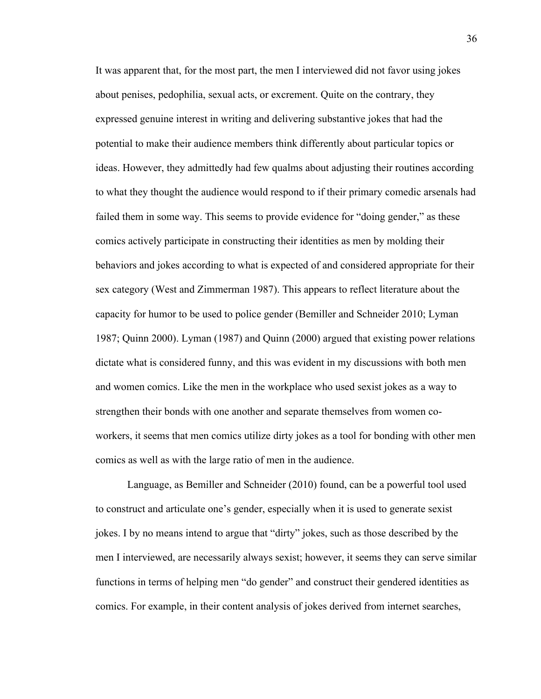It was apparent that, for the most part, the men I interviewed did not favor using jokes about penises, pedophilia, sexual acts, or excrement. Quite on the contrary, they expressed genuine interest in writing and delivering substantive jokes that had the potential to make their audience members think differently about particular topics or ideas. However, they admittedly had few qualms about adjusting their routines according to what they thought the audience would respond to if their primary comedic arsenals had failed them in some way. This seems to provide evidence for "doing gender," as these comics actively participate in constructing their identities as men by molding their behaviors and jokes according to what is expected of and considered appropriate for their sex category (West and Zimmerman 1987). This appears to reflect literature about the capacity for humor to be used to police gender (Bemiller and Schneider 2010; Lyman 1987; Quinn 2000). Lyman (1987) and Quinn (2000) argued that existing power relations dictate what is considered funny, and this was evident in my discussions with both men and women comics. Like the men in the workplace who used sexist jokes as a way to strengthen their bonds with one another and separate themselves from women coworkers, it seems that men comics utilize dirty jokes as a tool for bonding with other men comics as well as with the large ratio of men in the audience.

Language, as Bemiller and Schneider (2010) found, can be a powerful tool used to construct and articulate one's gender, especially when it is used to generate sexist jokes. I by no means intend to argue that "dirty" jokes, such as those described by the men I interviewed, are necessarily always sexist; however, it seems they can serve similar functions in terms of helping men "do gender" and construct their gendered identities as comics. For example, in their content analysis of jokes derived from internet searches,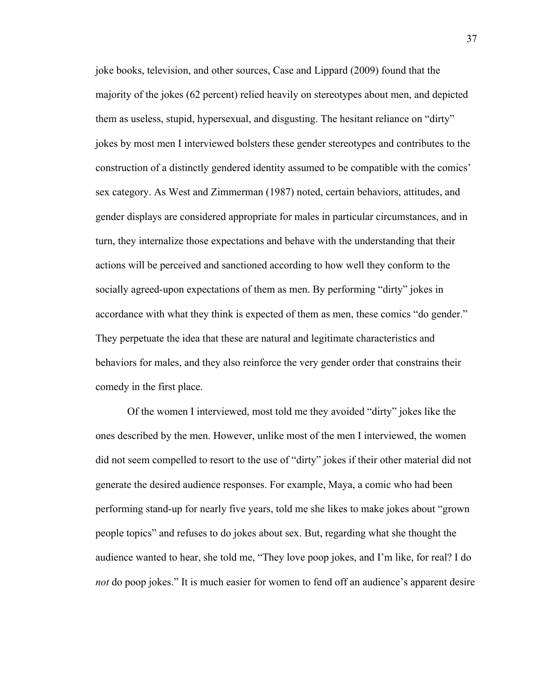joke books, television, and other sources, Case and Lippard (2009) found that the majority of the jokes (62 percent) relied heavily on stereotypes about men, and depicted them as useless, stupid, hypersexual, and disgusting. The hesitant reliance on "dirty" jokes by most men I interviewed bolsters these gender stereotypes and contributes to the construction of a distinctly gendered identity assumed to be compatible with the comics' sex category. As West and Zimmerman (1987) noted, certain behaviors, attitudes, and gender displays are considered appropriate for males in particular circumstances, and in turn, they internalize those expectations and behave with the understanding that their actions will be perceived and sanctioned according to how well they conform to the socially agreed-upon expectations of them as men. By performing "dirty" jokes in accordance with what they think is expected of them as men, these comics "do gender." They perpetuate the idea that these are natural and legitimate characteristics and behaviors for males, and they also reinforce the very gender order that constrains their comedy in the first place.

Of the women I interviewed, most told me they avoided "dirty" jokes like the ones described by the men. However, unlike most of the men I interviewed, the women did not seem compelled to resort to the use of "dirty" jokes if their other material did not generate the desired audience responses. For example, Maya, a comic who had been performing stand-up for nearly five years, told me she likes to make jokes about "grown people topics" and refuses to do jokes about sex. But, regarding what she thought the audience wanted to hear, she told me, "They love poop jokes, and I'm like, for real? I do *not* do poop jokes." It is much easier for women to fend off an audience's apparent desire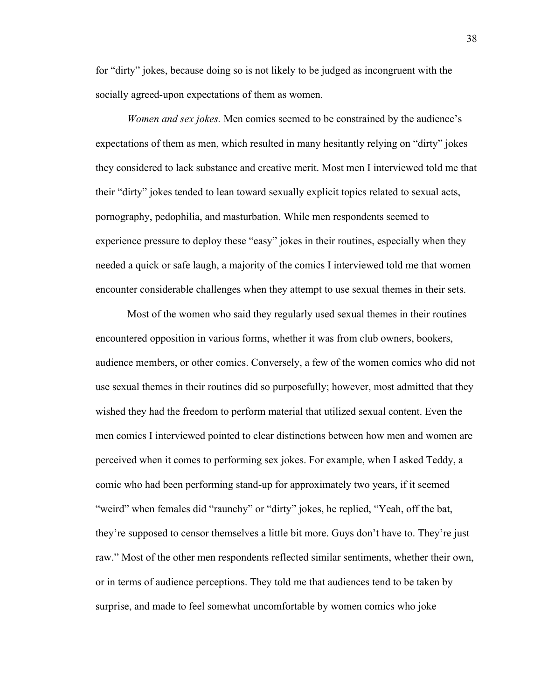for "dirty" jokes, because doing so is not likely to be judged as incongruent with the socially agreed-upon expectations of them as women.

*Women and sex jokes.* Men comics seemed to be constrained by the audience's expectations of them as men, which resulted in many hesitantly relying on "dirty" jokes they considered to lack substance and creative merit. Most men I interviewed told me that their "dirty" jokes tended to lean toward sexually explicit topics related to sexual acts, pornography, pedophilia, and masturbation. While men respondents seemed to experience pressure to deploy these "easy" jokes in their routines, especially when they needed a quick or safe laugh, a majority of the comics I interviewed told me that women encounter considerable challenges when they attempt to use sexual themes in their sets.

Most of the women who said they regularly used sexual themes in their routines encountered opposition in various forms, whether it was from club owners, bookers, audience members, or other comics. Conversely, a few of the women comics who did not use sexual themes in their routines did so purposefully; however, most admitted that they wished they had the freedom to perform material that utilized sexual content. Even the men comics I interviewed pointed to clear distinctions between how men and women are perceived when it comes to performing sex jokes. For example, when I asked Teddy, a comic who had been performing stand-up for approximately two years, if it seemed "weird" when females did "raunchy" or "dirty" jokes, he replied, "Yeah, off the bat, they're supposed to censor themselves a little bit more. Guys don't have to. They're just raw." Most of the other men respondents reflected similar sentiments, whether their own, or in terms of audience perceptions. They told me that audiences tend to be taken by surprise, and made to feel somewhat uncomfortable by women comics who joke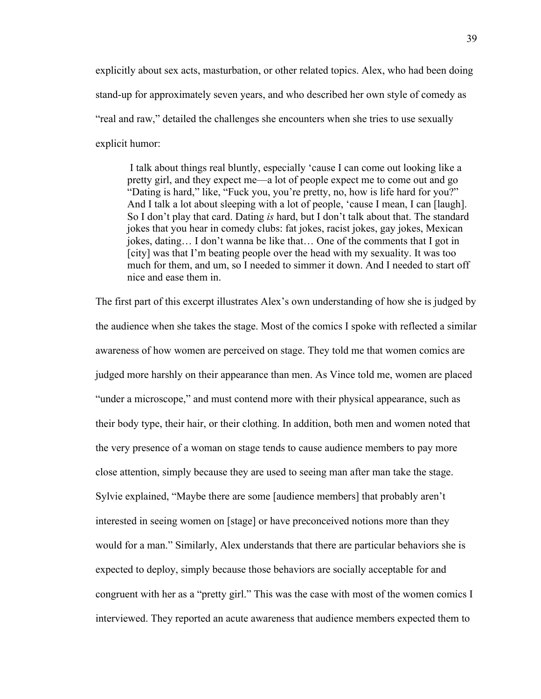explicitly about sex acts, masturbation, or other related topics. Alex, who had been doing stand-up for approximately seven years, and who described her own style of comedy as "real and raw," detailed the challenges she encounters when she tries to use sexually explicit humor:

I talk about things real bluntly, especially 'cause I can come out looking like a pretty girl, and they expect me—a lot of people expect me to come out and go "Dating is hard," like, "Fuck you, you're pretty, no, how is life hard for you?" And I talk a lot about sleeping with a lot of people, 'cause I mean, I can [laugh]. So I don't play that card. Dating *is* hard, but I don't talk about that. The standard jokes that you hear in comedy clubs: fat jokes, racist jokes, gay jokes, Mexican jokes, dating… I don't wanna be like that… One of the comments that I got in [city] was that I'm beating people over the head with my sexuality. It was too much for them, and um, so I needed to simmer it down. And I needed to start off nice and ease them in.

The first part of this excerpt illustrates Alex's own understanding of how she is judged by the audience when she takes the stage. Most of the comics I spoke with reflected a similar awareness of how women are perceived on stage. They told me that women comics are judged more harshly on their appearance than men. As Vince told me, women are placed "under a microscope," and must contend more with their physical appearance, such as their body type, their hair, or their clothing. In addition, both men and women noted that the very presence of a woman on stage tends to cause audience members to pay more close attention, simply because they are used to seeing man after man take the stage. Sylvie explained, "Maybe there are some [audience members] that probably aren't interested in seeing women on [stage] or have preconceived notions more than they would for a man." Similarly, Alex understands that there are particular behaviors she is expected to deploy, simply because those behaviors are socially acceptable for and congruent with her as a "pretty girl." This was the case with most of the women comics I interviewed. They reported an acute awareness that audience members expected them to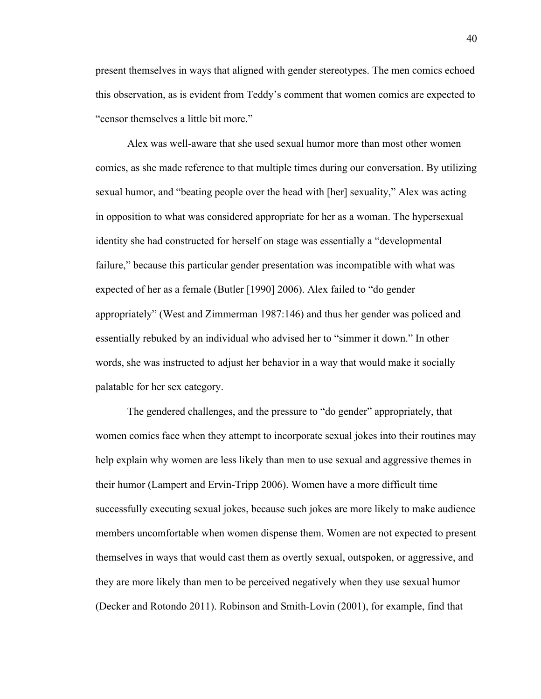present themselves in ways that aligned with gender stereotypes. The men comics echoed this observation, as is evident from Teddy's comment that women comics are expected to "censor themselves a little bit more."

Alex was well-aware that she used sexual humor more than most other women comics, as she made reference to that multiple times during our conversation. By utilizing sexual humor, and "beating people over the head with [her] sexuality," Alex was acting in opposition to what was considered appropriate for her as a woman. The hypersexual identity she had constructed for herself on stage was essentially a "developmental failure," because this particular gender presentation was incompatible with what was expected of her as a female (Butler [1990] 2006). Alex failed to "do gender appropriately" (West and Zimmerman 1987:146) and thus her gender was policed and essentially rebuked by an individual who advised her to "simmer it down." In other words, she was instructed to adjust her behavior in a way that would make it socially palatable for her sex category.

The gendered challenges, and the pressure to "do gender" appropriately, that women comics face when they attempt to incorporate sexual jokes into their routines may help explain why women are less likely than men to use sexual and aggressive themes in their humor (Lampert and Ervin-Tripp 2006). Women have a more difficult time successfully executing sexual jokes, because such jokes are more likely to make audience members uncomfortable when women dispense them. Women are not expected to present themselves in ways that would cast them as overtly sexual, outspoken, or aggressive, and they are more likely than men to be perceived negatively when they use sexual humor (Decker and Rotondo 2011). Robinson and Smith-Lovin (2001), for example, find that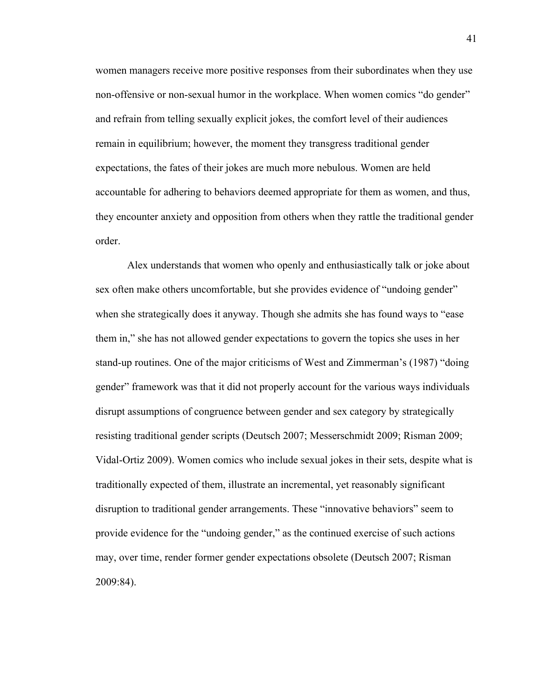women managers receive more positive responses from their subordinates when they use non-offensive or non-sexual humor in the workplace. When women comics "do gender" and refrain from telling sexually explicit jokes, the comfort level of their audiences remain in equilibrium; however, the moment they transgress traditional gender expectations, the fates of their jokes are much more nebulous. Women are held accountable for adhering to behaviors deemed appropriate for them as women, and thus, they encounter anxiety and opposition from others when they rattle the traditional gender order.

Alex understands that women who openly and enthusiastically talk or joke about sex often make others uncomfortable, but she provides evidence of "undoing gender" when she strategically does it anyway. Though she admits she has found ways to "ease them in," she has not allowed gender expectations to govern the topics she uses in her stand-up routines. One of the major criticisms of West and Zimmerman's (1987) "doing gender" framework was that it did not properly account for the various ways individuals disrupt assumptions of congruence between gender and sex category by strategically resisting traditional gender scripts (Deutsch 2007; Messerschmidt 2009; Risman 2009; Vidal-Ortiz 2009). Women comics who include sexual jokes in their sets, despite what is traditionally expected of them, illustrate an incremental, yet reasonably significant disruption to traditional gender arrangements. These "innovative behaviors" seem to provide evidence for the "undoing gender," as the continued exercise of such actions may, over time, render former gender expectations obsolete (Deutsch 2007; Risman 2009:84).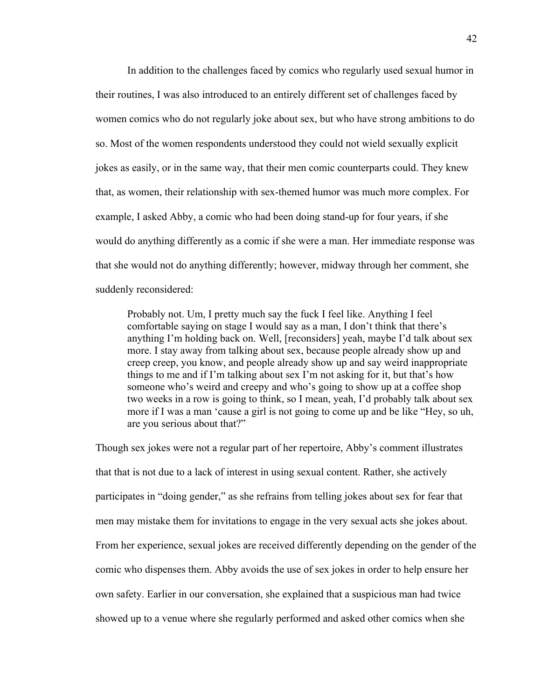In addition to the challenges faced by comics who regularly used sexual humor in their routines, I was also introduced to an entirely different set of challenges faced by women comics who do not regularly joke about sex, but who have strong ambitions to do so. Most of the women respondents understood they could not wield sexually explicit jokes as easily, or in the same way, that their men comic counterparts could. They knew that, as women, their relationship with sex-themed humor was much more complex. For example, I asked Abby, a comic who had been doing stand-up for four years, if she would do anything differently as a comic if she were a man. Her immediate response was that she would not do anything differently; however, midway through her comment, she suddenly reconsidered:

Probably not. Um, I pretty much say the fuck I feel like. Anything I feel comfortable saying on stage I would say as a man, I don't think that there's anything I'm holding back on. Well, [reconsiders] yeah, maybe I'd talk about sex more. I stay away from talking about sex, because people already show up and creep creep, you know, and people already show up and say weird inappropriate things to me and if I'm talking about sex I'm not asking for it, but that's how someone who's weird and creepy and who's going to show up at a coffee shop two weeks in a row is going to think, so I mean, yeah, I'd probably talk about sex more if I was a man 'cause a girl is not going to come up and be like "Hey, so uh, are you serious about that?"

Though sex jokes were not a regular part of her repertoire, Abby's comment illustrates that that is not due to a lack of interest in using sexual content. Rather, she actively participates in "doing gender," as she refrains from telling jokes about sex for fear that men may mistake them for invitations to engage in the very sexual acts she jokes about. From her experience, sexual jokes are received differently depending on the gender of the comic who dispenses them. Abby avoids the use of sex jokes in order to help ensure her own safety. Earlier in our conversation, she explained that a suspicious man had twice showed up to a venue where she regularly performed and asked other comics when she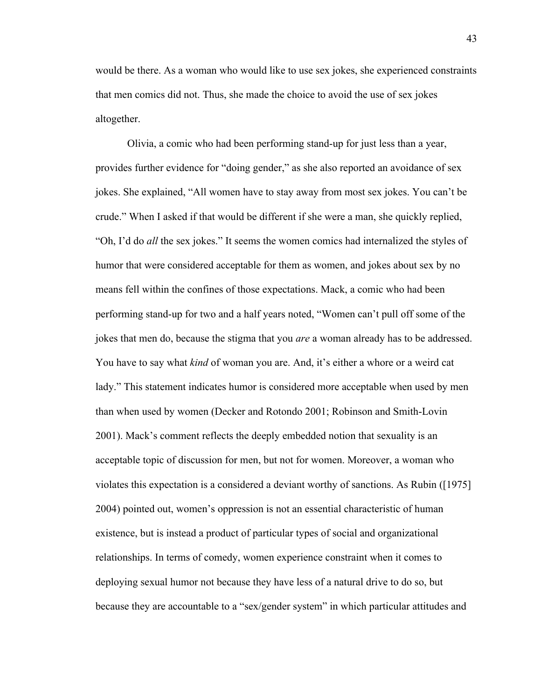would be there. As a woman who would like to use sex jokes, she experienced constraints that men comics did not. Thus, she made the choice to avoid the use of sex jokes altogether.

Olivia, a comic who had been performing stand-up for just less than a year, provides further evidence for "doing gender," as she also reported an avoidance of sex jokes. She explained, "All women have to stay away from most sex jokes. You can't be crude." When I asked if that would be different if she were a man, she quickly replied, "Oh, I'd do *all* the sex jokes." It seems the women comics had internalized the styles of humor that were considered acceptable for them as women, and jokes about sex by no means fell within the confines of those expectations. Mack, a comic who had been performing stand-up for two and a half years noted, "Women can't pull off some of the jokes that men do, because the stigma that you *are* a woman already has to be addressed. You have to say what *kind* of woman you are. And, it's either a whore or a weird cat lady." This statement indicates humor is considered more acceptable when used by men than when used by women (Decker and Rotondo 2001; Robinson and Smith-Lovin 2001). Mack's comment reflects the deeply embedded notion that sexuality is an acceptable topic of discussion for men, but not for women. Moreover, a woman who violates this expectation is a considered a deviant worthy of sanctions. As Rubin ([1975] 2004) pointed out, women's oppression is not an essential characteristic of human existence, but is instead a product of particular types of social and organizational relationships. In terms of comedy, women experience constraint when it comes to deploying sexual humor not because they have less of a natural drive to do so, but because they are accountable to a "sex/gender system" in which particular attitudes and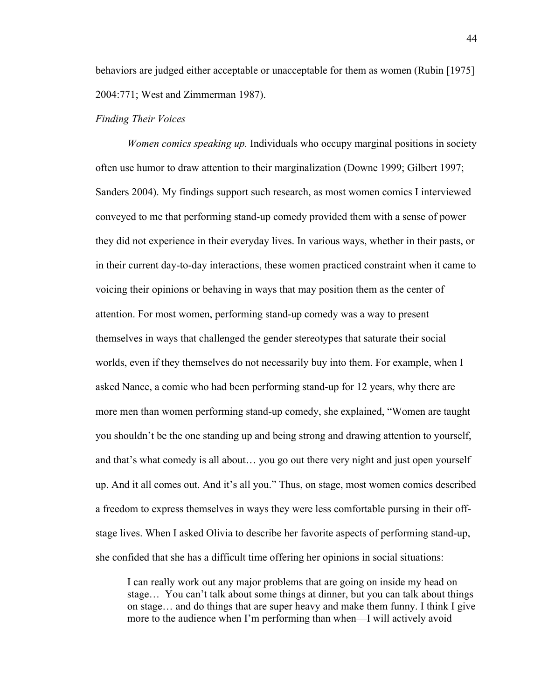behaviors are judged either acceptable or unacceptable for them as women (Rubin [1975] 2004:771; West and Zimmerman 1987).

#### *Finding Their Voices*

*Women comics speaking up.* Individuals who occupy marginal positions in society often use humor to draw attention to their marginalization (Downe 1999; Gilbert 1997; Sanders 2004). My findings support such research, as most women comics I interviewed conveyed to me that performing stand-up comedy provided them with a sense of power they did not experience in their everyday lives. In various ways, whether in their pasts, or in their current day-to-day interactions, these women practiced constraint when it came to voicing their opinions or behaving in ways that may position them as the center of attention. For most women, performing stand-up comedy was a way to present themselves in ways that challenged the gender stereotypes that saturate their social worlds, even if they themselves do not necessarily buy into them. For example, when I asked Nance, a comic who had been performing stand-up for 12 years, why there are more men than women performing stand-up comedy, she explained, "Women are taught you shouldn't be the one standing up and being strong and drawing attention to yourself, and that's what comedy is all about… you go out there very night and just open yourself up. And it all comes out. And it's all you." Thus, on stage, most women comics described a freedom to express themselves in ways they were less comfortable pursing in their offstage lives. When I asked Olivia to describe her favorite aspects of performing stand-up, she confided that she has a difficult time offering her opinions in social situations:

I can really work out any major problems that are going on inside my head on stage… You can't talk about some things at dinner, but you can talk about things on stage… and do things that are super heavy and make them funny. I think I give more to the audience when I'm performing than when—I will actively avoid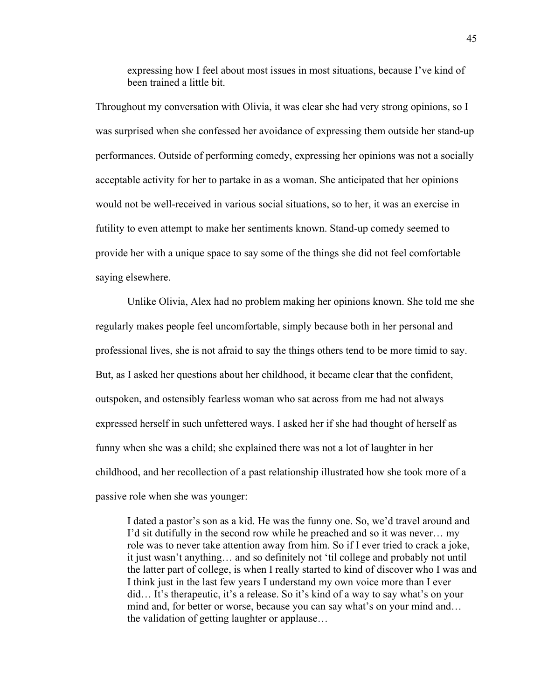expressing how I feel about most issues in most situations, because I've kind of been trained a little bit.

Throughout my conversation with Olivia, it was clear she had very strong opinions, so I was surprised when she confessed her avoidance of expressing them outside her stand-up performances. Outside of performing comedy, expressing her opinions was not a socially acceptable activity for her to partake in as a woman. She anticipated that her opinions would not be well-received in various social situations, so to her, it was an exercise in futility to even attempt to make her sentiments known. Stand-up comedy seemed to provide her with a unique space to say some of the things she did not feel comfortable saying elsewhere.

Unlike Olivia, Alex had no problem making her opinions known. She told me she regularly makes people feel uncomfortable, simply because both in her personal and professional lives, she is not afraid to say the things others tend to be more timid to say. But, as I asked her questions about her childhood, it became clear that the confident, outspoken, and ostensibly fearless woman who sat across from me had not always expressed herself in such unfettered ways. I asked her if she had thought of herself as funny when she was a child; she explained there was not a lot of laughter in her childhood, and her recollection of a past relationship illustrated how she took more of a passive role when she was younger:

I dated a pastor's son as a kid. He was the funny one. So, we'd travel around and I'd sit dutifully in the second row while he preached and so it was never… my role was to never take attention away from him. So if I ever tried to crack a joke, it just wasn't anything… and so definitely not 'til college and probably not until the latter part of college, is when I really started to kind of discover who I was and I think just in the last few years I understand my own voice more than I ever did… It's therapeutic, it's a release. So it's kind of a way to say what's on your mind and, for better or worse, because you can say what's on your mind and… the validation of getting laughter or applause…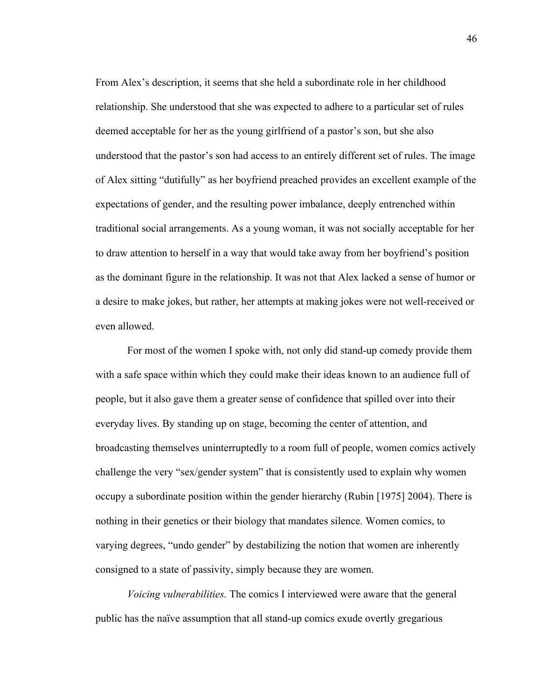From Alex's description, it seems that she held a subordinate role in her childhood relationship. She understood that she was expected to adhere to a particular set of rules deemed acceptable for her as the young girlfriend of a pastor's son, but she also understood that the pastor's son had access to an entirely different set of rules. The image of Alex sitting "dutifully" as her boyfriend preached provides an excellent example of the expectations of gender, and the resulting power imbalance, deeply entrenched within traditional social arrangements. As a young woman, it was not socially acceptable for her to draw attention to herself in a way that would take away from her boyfriend's position as the dominant figure in the relationship. It was not that Alex lacked a sense of humor or a desire to make jokes, but rather, her attempts at making jokes were not well-received or even allowed.

For most of the women I spoke with, not only did stand-up comedy provide them with a safe space within which they could make their ideas known to an audience full of people, but it also gave them a greater sense of confidence that spilled over into their everyday lives. By standing up on stage, becoming the center of attention, and broadcasting themselves uninterruptedly to a room full of people, women comics actively challenge the very "sex/gender system" that is consistently used to explain why women occupy a subordinate position within the gender hierarchy (Rubin [1975] 2004). There is nothing in their genetics or their biology that mandates silence. Women comics, to varying degrees, "undo gender" by destabilizing the notion that women are inherently consigned to a state of passivity, simply because they are women.

*Voicing vulnerabilities.* The comics I interviewed were aware that the general public has the naïve assumption that all stand-up comics exude overtly gregarious

46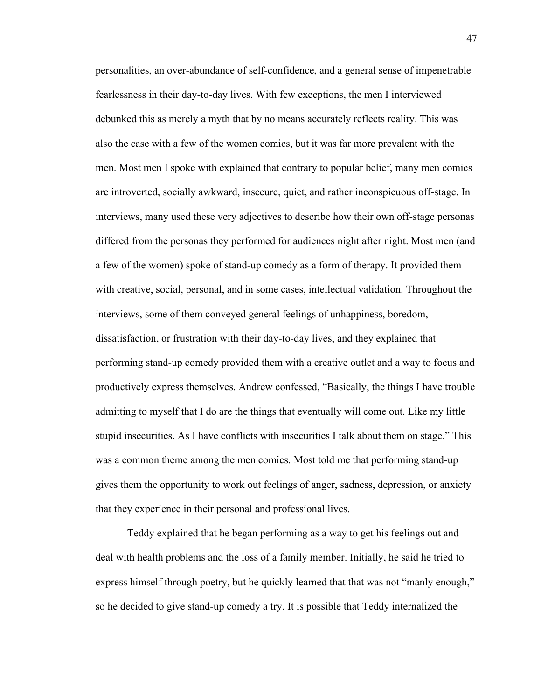personalities, an over-abundance of self-confidence, and a general sense of impenetrable fearlessness in their day-to-day lives. With few exceptions, the men I interviewed debunked this as merely a myth that by no means accurately reflects reality. This was also the case with a few of the women comics, but it was far more prevalent with the men. Most men I spoke with explained that contrary to popular belief, many men comics are introverted, socially awkward, insecure, quiet, and rather inconspicuous off-stage. In interviews, many used these very adjectives to describe how their own off-stage personas differed from the personas they performed for audiences night after night. Most men (and a few of the women) spoke of stand-up comedy as a form of therapy. It provided them with creative, social, personal, and in some cases, intellectual validation. Throughout the interviews, some of them conveyed general feelings of unhappiness, boredom, dissatisfaction, or frustration with their day-to-day lives, and they explained that performing stand-up comedy provided them with a creative outlet and a way to focus and productively express themselves. Andrew confessed, "Basically, the things I have trouble admitting to myself that I do are the things that eventually will come out. Like my little stupid insecurities. As I have conflicts with insecurities I talk about them on stage." This was a common theme among the men comics. Most told me that performing stand-up gives them the opportunity to work out feelings of anger, sadness, depression, or anxiety that they experience in their personal and professional lives.

Teddy explained that he began performing as a way to get his feelings out and deal with health problems and the loss of a family member. Initially, he said he tried to express himself through poetry, but he quickly learned that that was not "manly enough," so he decided to give stand-up comedy a try. It is possible that Teddy internalized the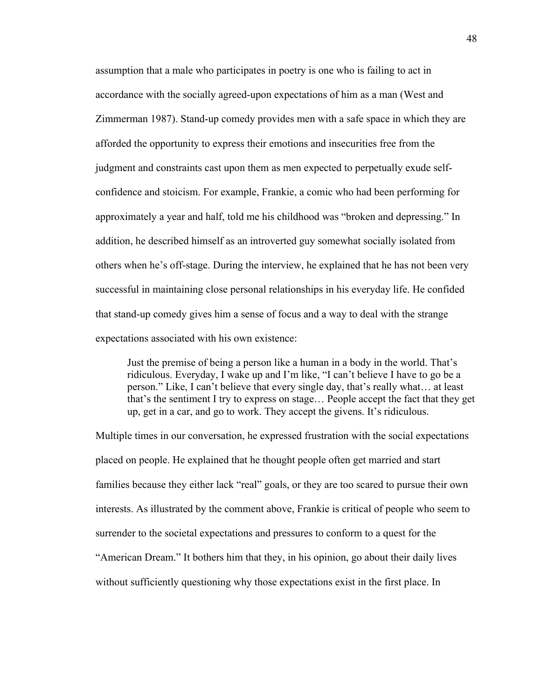assumption that a male who participates in poetry is one who is failing to act in accordance with the socially agreed-upon expectations of him as a man (West and Zimmerman 1987). Stand-up comedy provides men with a safe space in which they are afforded the opportunity to express their emotions and insecurities free from the judgment and constraints cast upon them as men expected to perpetually exude selfconfidence and stoicism. For example, Frankie, a comic who had been performing for approximately a year and half, told me his childhood was "broken and depressing." In addition, he described himself as an introverted guy somewhat socially isolated from others when he's off-stage. During the interview, he explained that he has not been very successful in maintaining close personal relationships in his everyday life. He confided that stand-up comedy gives him a sense of focus and a way to deal with the strange expectations associated with his own existence:

Just the premise of being a person like a human in a body in the world. That's ridiculous. Everyday, I wake up and I'm like, "I can't believe I have to go be a person." Like, I can't believe that every single day, that's really what… at least that's the sentiment I try to express on stage… People accept the fact that they get up, get in a car, and go to work. They accept the givens. It's ridiculous.

Multiple times in our conversation, he expressed frustration with the social expectations placed on people. He explained that he thought people often get married and start families because they either lack "real" goals, or they are too scared to pursue their own interests. As illustrated by the comment above, Frankie is critical of people who seem to surrender to the societal expectations and pressures to conform to a quest for the "American Dream." It bothers him that they, in his opinion, go about their daily lives without sufficiently questioning why those expectations exist in the first place. In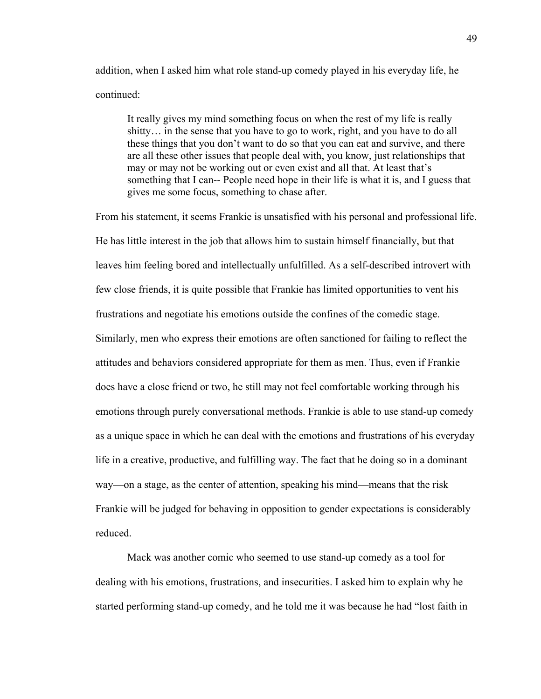addition, when I asked him what role stand-up comedy played in his everyday life, he continued:

It really gives my mind something focus on when the rest of my life is really shitty… in the sense that you have to go to work, right, and you have to do all these things that you don't want to do so that you can eat and survive, and there are all these other issues that people deal with, you know, just relationships that may or may not be working out or even exist and all that. At least that's something that I can-- People need hope in their life is what it is, and I guess that gives me some focus, something to chase after.

From his statement, it seems Frankie is unsatisfied with his personal and professional life. He has little interest in the job that allows him to sustain himself financially, but that leaves him feeling bored and intellectually unfulfilled. As a self-described introvert with few close friends, it is quite possible that Frankie has limited opportunities to vent his frustrations and negotiate his emotions outside the confines of the comedic stage. Similarly, men who express their emotions are often sanctioned for failing to reflect the attitudes and behaviors considered appropriate for them as men. Thus, even if Frankie does have a close friend or two, he still may not feel comfortable working through his emotions through purely conversational methods. Frankie is able to use stand-up comedy as a unique space in which he can deal with the emotions and frustrations of his everyday life in a creative, productive, and fulfilling way. The fact that he doing so in a dominant way—on a stage, as the center of attention, speaking his mind—means that the risk Frankie will be judged for behaving in opposition to gender expectations is considerably reduced.

Mack was another comic who seemed to use stand-up comedy as a tool for dealing with his emotions, frustrations, and insecurities. I asked him to explain why he started performing stand-up comedy, and he told me it was because he had "lost faith in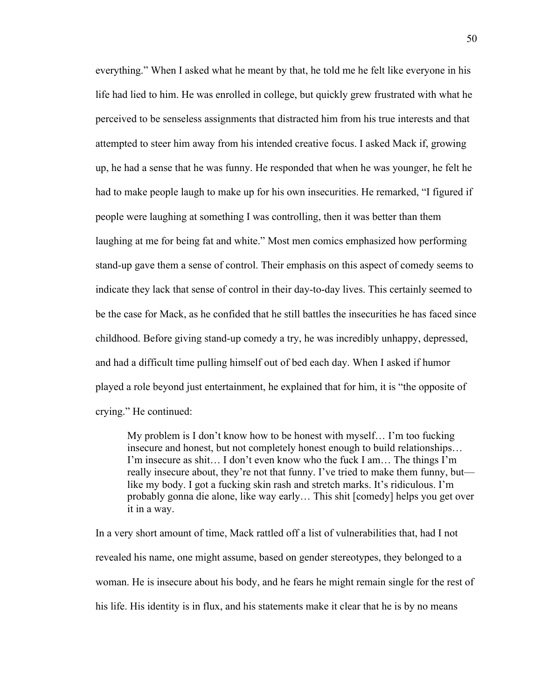everything." When I asked what he meant by that, he told me he felt like everyone in his life had lied to him. He was enrolled in college, but quickly grew frustrated with what he perceived to be senseless assignments that distracted him from his true interests and that attempted to steer him away from his intended creative focus. I asked Mack if, growing up, he had a sense that he was funny. He responded that when he was younger, he felt he had to make people laugh to make up for his own insecurities. He remarked, "I figured if people were laughing at something I was controlling, then it was better than them laughing at me for being fat and white." Most men comics emphasized how performing stand-up gave them a sense of control. Their emphasis on this aspect of comedy seems to indicate they lack that sense of control in their day-to-day lives. This certainly seemed to be the case for Mack, as he confided that he still battles the insecurities he has faced since childhood. Before giving stand-up comedy a try, he was incredibly unhappy, depressed, and had a difficult time pulling himself out of bed each day. When I asked if humor played a role beyond just entertainment, he explained that for him, it is "the opposite of crying." He continued:

My problem is I don't know how to be honest with myself… I'm too fucking insecure and honest, but not completely honest enough to build relationships… I'm insecure as shit… I don't even know who the fuck I am… The things I'm really insecure about, they're not that funny. I've tried to make them funny, but like my body. I got a fucking skin rash and stretch marks. It's ridiculous. I'm probably gonna die alone, like way early… This shit [comedy] helps you get over it in a way.

In a very short amount of time, Mack rattled off a list of vulnerabilities that, had I not revealed his name, one might assume, based on gender stereotypes, they belonged to a woman. He is insecure about his body, and he fears he might remain single for the rest of his life. His identity is in flux, and his statements make it clear that he is by no means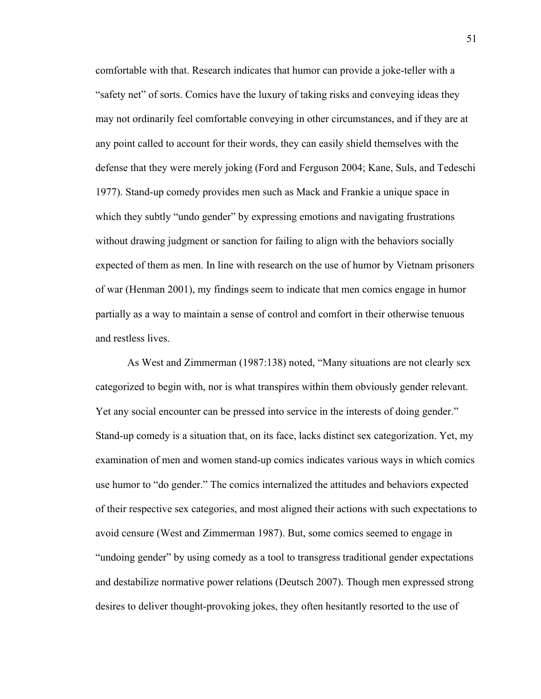comfortable with that. Research indicates that humor can provide a joke-teller with a "safety net" of sorts. Comics have the luxury of taking risks and conveying ideas they may not ordinarily feel comfortable conveying in other circumstances, and if they are at any point called to account for their words, they can easily shield themselves with the defense that they were merely joking (Ford and Ferguson 2004; Kane, Suls, and Tedeschi 1977). Stand-up comedy provides men such as Mack and Frankie a unique space in which they subtly "undo gender" by expressing emotions and navigating frustrations without drawing judgment or sanction for failing to align with the behaviors socially expected of them as men. In line with research on the use of humor by Vietnam prisoners of war (Henman 2001), my findings seem to indicate that men comics engage in humor partially as a way to maintain a sense of control and comfort in their otherwise tenuous and restless lives.

As West and Zimmerman (1987:138) noted, "Many situations are not clearly sex categorized to begin with, nor is what transpires within them obviously gender relevant. Yet any social encounter can be pressed into service in the interests of doing gender." Stand-up comedy is a situation that, on its face, lacks distinct sex categorization. Yet, my examination of men and women stand-up comics indicates various ways in which comics use humor to "do gender." The comics internalized the attitudes and behaviors expected of their respective sex categories, and most aligned their actions with such expectations to avoid censure (West and Zimmerman 1987). But, some comics seemed to engage in "undoing gender" by using comedy as a tool to transgress traditional gender expectations and destabilize normative power relations (Deutsch 2007). Though men expressed strong desires to deliver thought-provoking jokes, they often hesitantly resorted to the use of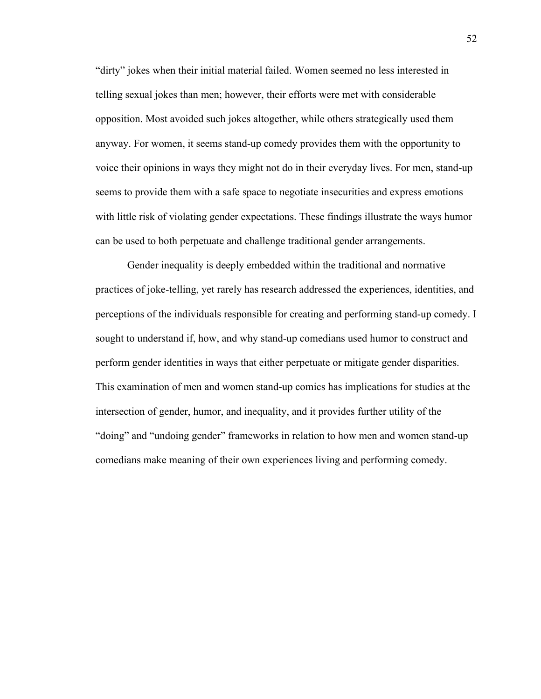"dirty" jokes when their initial material failed. Women seemed no less interested in telling sexual jokes than men; however, their efforts were met with considerable opposition. Most avoided such jokes altogether, while others strategically used them anyway. For women, it seems stand-up comedy provides them with the opportunity to voice their opinions in ways they might not do in their everyday lives. For men, stand-up seems to provide them with a safe space to negotiate insecurities and express emotions with little risk of violating gender expectations. These findings illustrate the ways humor can be used to both perpetuate and challenge traditional gender arrangements.

Gender inequality is deeply embedded within the traditional and normative practices of joke-telling, yet rarely has research addressed the experiences, identities, and perceptions of the individuals responsible for creating and performing stand-up comedy. I sought to understand if, how, and why stand-up comedians used humor to construct and perform gender identities in ways that either perpetuate or mitigate gender disparities. This examination of men and women stand-up comics has implications for studies at the intersection of gender, humor, and inequality, and it provides further utility of the "doing" and "undoing gender" frameworks in relation to how men and women stand-up comedians make meaning of their own experiences living and performing comedy.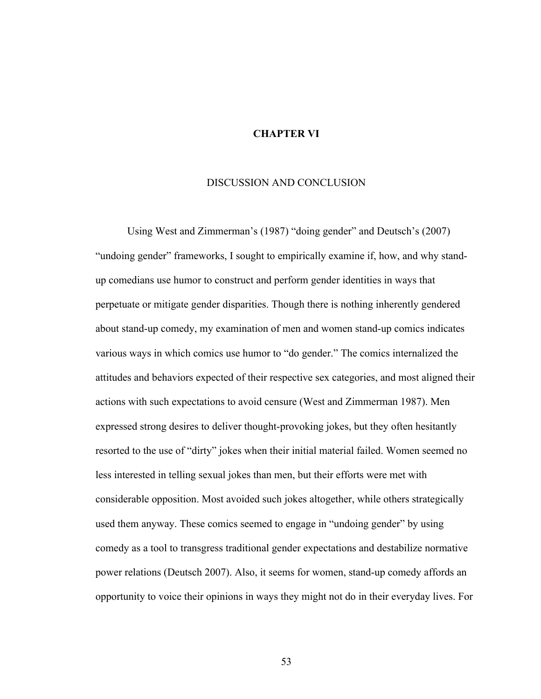## **CHAPTER VI**

### DISCUSSION AND CONCLUSION

Using West and Zimmerman's (1987) "doing gender" and Deutsch's (2007) "undoing gender" frameworks, I sought to empirically examine if, how, and why standup comedians use humor to construct and perform gender identities in ways that perpetuate or mitigate gender disparities. Though there is nothing inherently gendered about stand-up comedy, my examination of men and women stand-up comics indicates various ways in which comics use humor to "do gender." The comics internalized the attitudes and behaviors expected of their respective sex categories, and most aligned their actions with such expectations to avoid censure (West and Zimmerman 1987). Men expressed strong desires to deliver thought-provoking jokes, but they often hesitantly resorted to the use of "dirty" jokes when their initial material failed. Women seemed no less interested in telling sexual jokes than men, but their efforts were met with considerable opposition. Most avoided such jokes altogether, while others strategically used them anyway. These comics seemed to engage in "undoing gender" by using comedy as a tool to transgress traditional gender expectations and destabilize normative power relations (Deutsch 2007). Also, it seems for women, stand-up comedy affords an opportunity to voice their opinions in ways they might not do in their everyday lives. For

53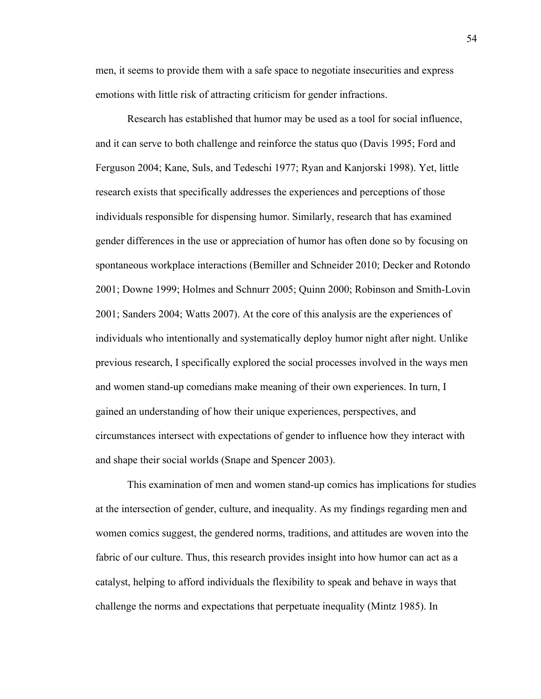men, it seems to provide them with a safe space to negotiate insecurities and express emotions with little risk of attracting criticism for gender infractions.

Research has established that humor may be used as a tool for social influence, and it can serve to both challenge and reinforce the status quo (Davis 1995; Ford and Ferguson 2004; Kane, Suls, and Tedeschi 1977; Ryan and Kanjorski 1998). Yet, little research exists that specifically addresses the experiences and perceptions of those individuals responsible for dispensing humor. Similarly, research that has examined gender differences in the use or appreciation of humor has often done so by focusing on spontaneous workplace interactions (Bemiller and Schneider 2010; Decker and Rotondo 2001; Downe 1999; Holmes and Schnurr 2005; Quinn 2000; Robinson and Smith-Lovin 2001; Sanders 2004; Watts 2007). At the core of this analysis are the experiences of individuals who intentionally and systematically deploy humor night after night. Unlike previous research, I specifically explored the social processes involved in the ways men and women stand-up comedians make meaning of their own experiences. In turn, I gained an understanding of how their unique experiences, perspectives, and circumstances intersect with expectations of gender to influence how they interact with and shape their social worlds (Snape and Spencer 2003).

This examination of men and women stand-up comics has implications for studies at the intersection of gender, culture, and inequality. As my findings regarding men and women comics suggest, the gendered norms, traditions, and attitudes are woven into the fabric of our culture. Thus, this research provides insight into how humor can act as a catalyst, helping to afford individuals the flexibility to speak and behave in ways that challenge the norms and expectations that perpetuate inequality (Mintz 1985). In

54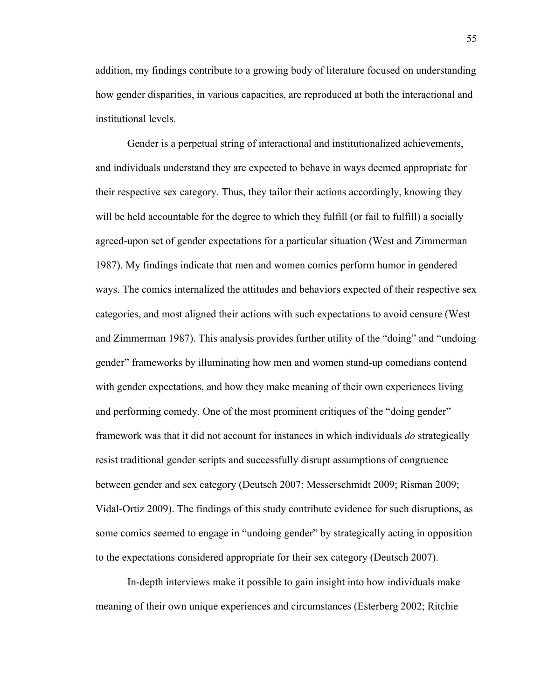addition, my findings contribute to a growing body of literature focused on understanding how gender disparities, in various capacities, are reproduced at both the interactional and institutional levels.

Gender is a perpetual string of interactional and institutionalized achievements, and individuals understand they are expected to behave in ways deemed appropriate for their respective sex category. Thus, they tailor their actions accordingly, knowing they will be held accountable for the degree to which they fulfill (or fail to fulfill) a socially agreed-upon set of gender expectations for a particular situation (West and Zimmerman 1987). My findings indicate that men and women comics perform humor in gendered ways. The comics internalized the attitudes and behaviors expected of their respective sex categories, and most aligned their actions with such expectations to avoid censure (West and Zimmerman 1987). This analysis provides further utility of the "doing" and "undoing gender" frameworks by illuminating how men and women stand-up comedians contend with gender expectations, and how they make meaning of their own experiences living and performing comedy. One of the most prominent critiques of the "doing gender" framework was that it did not account for instances in which individuals *do* strategically resist traditional gender scripts and successfully disrupt assumptions of congruence between gender and sex category (Deutsch 2007; Messerschmidt 2009; Risman 2009; Vidal-Ortiz 2009). The findings of this study contribute evidence for such disruptions, as some comics seemed to engage in "undoing gender" by strategically acting in opposition to the expectations considered appropriate for their sex category (Deutsch 2007).

In-depth interviews make it possible to gain insight into how individuals make meaning of their own unique experiences and circumstances (Esterberg 2002; Ritchie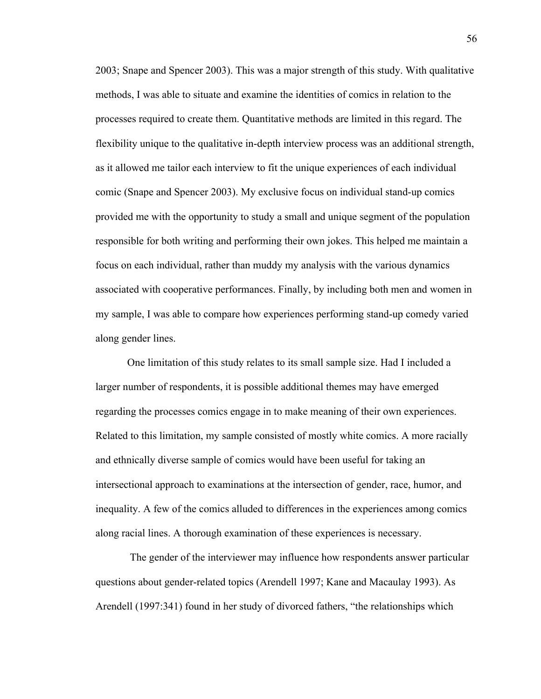2003; Snape and Spencer 2003). This was a major strength of this study. With qualitative methods, I was able to situate and examine the identities of comics in relation to the processes required to create them. Quantitative methods are limited in this regard. The flexibility unique to the qualitative in-depth interview process was an additional strength, as it allowed me tailor each interview to fit the unique experiences of each individual comic (Snape and Spencer 2003). My exclusive focus on individual stand-up comics provided me with the opportunity to study a small and unique segment of the population responsible for both writing and performing their own jokes. This helped me maintain a focus on each individual, rather than muddy my analysis with the various dynamics associated with cooperative performances. Finally, by including both men and women in my sample, I was able to compare how experiences performing stand-up comedy varied along gender lines.

One limitation of this study relates to its small sample size. Had I included a larger number of respondents, it is possible additional themes may have emerged regarding the processes comics engage in to make meaning of their own experiences. Related to this limitation, my sample consisted of mostly white comics. A more racially and ethnically diverse sample of comics would have been useful for taking an intersectional approach to examinations at the intersection of gender, race, humor, and inequality. A few of the comics alluded to differences in the experiences among comics along racial lines. A thorough examination of these experiences is necessary.

The gender of the interviewer may influence how respondents answer particular questions about gender-related topics (Arendell 1997; Kane and Macaulay 1993). As Arendell (1997:341) found in her study of divorced fathers, "the relationships which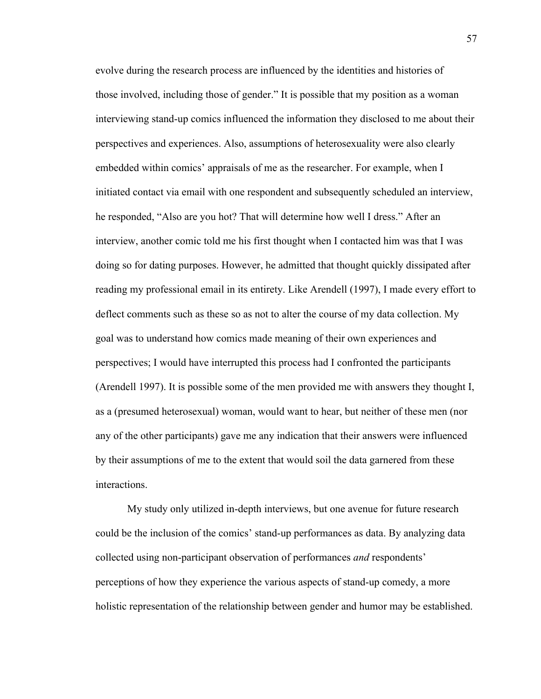evolve during the research process are influenced by the identities and histories of those involved, including those of gender." It is possible that my position as a woman interviewing stand-up comics influenced the information they disclosed to me about their perspectives and experiences. Also, assumptions of heterosexuality were also clearly embedded within comics' appraisals of me as the researcher. For example, when I initiated contact via email with one respondent and subsequently scheduled an interview, he responded, "Also are you hot? That will determine how well I dress." After an interview, another comic told me his first thought when I contacted him was that I was doing so for dating purposes. However, he admitted that thought quickly dissipated after reading my professional email in its entirety. Like Arendell (1997), I made every effort to deflect comments such as these so as not to alter the course of my data collection. My goal was to understand how comics made meaning of their own experiences and perspectives; I would have interrupted this process had I confronted the participants (Arendell 1997). It is possible some of the men provided me with answers they thought I, as a (presumed heterosexual) woman, would want to hear, but neither of these men (nor any of the other participants) gave me any indication that their answers were influenced by their assumptions of me to the extent that would soil the data garnered from these interactions.

My study only utilized in-depth interviews, but one avenue for future research could be the inclusion of the comics' stand-up performances as data. By analyzing data collected using non-participant observation of performances *and* respondents' perceptions of how they experience the various aspects of stand-up comedy, a more holistic representation of the relationship between gender and humor may be established.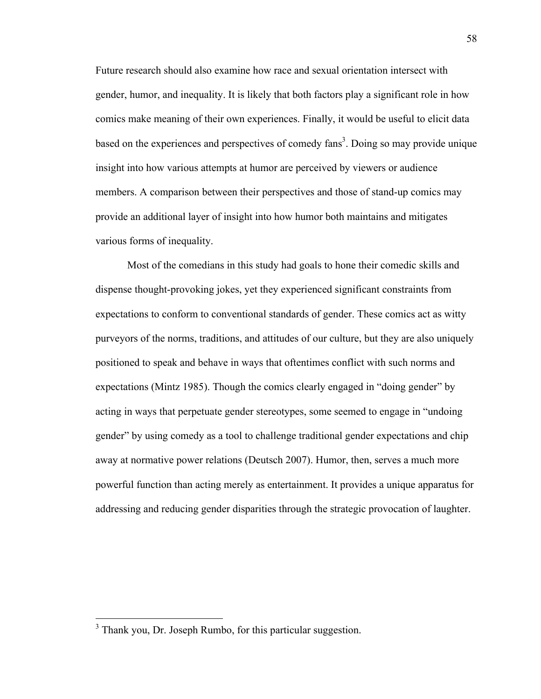Future research should also examine how race and sexual orientation intersect with gender, humor, and inequality. It is likely that both factors play a significant role in how comics make meaning of their own experiences. Finally, it would be useful to elicit data based on the experiences and perspectives of comedy  ${\rm fans}^3$ . Doing so may provide unique insight into how various attempts at humor are perceived by viewers or audience members. A comparison between their perspectives and those of stand-up comics may provide an additional layer of insight into how humor both maintains and mitigates various forms of inequality.

Most of the comedians in this study had goals to hone their comedic skills and dispense thought-provoking jokes, yet they experienced significant constraints from expectations to conform to conventional standards of gender. These comics act as witty purveyors of the norms, traditions, and attitudes of our culture, but they are also uniquely positioned to speak and behave in ways that oftentimes conflict with such norms and expectations (Mintz 1985). Though the comics clearly engaged in "doing gender" by acting in ways that perpetuate gender stereotypes, some seemed to engage in "undoing gender" by using comedy as a tool to challenge traditional gender expectations and chip away at normative power relations (Deutsch 2007). Humor, then, serves a much more powerful function than acting merely as entertainment. It provides a unique apparatus for addressing and reducing gender disparities through the strategic provocation of laughter.

<sup>&</sup>lt;sup>3</sup> Thank you, Dr. Joseph Rumbo, for this particular suggestion.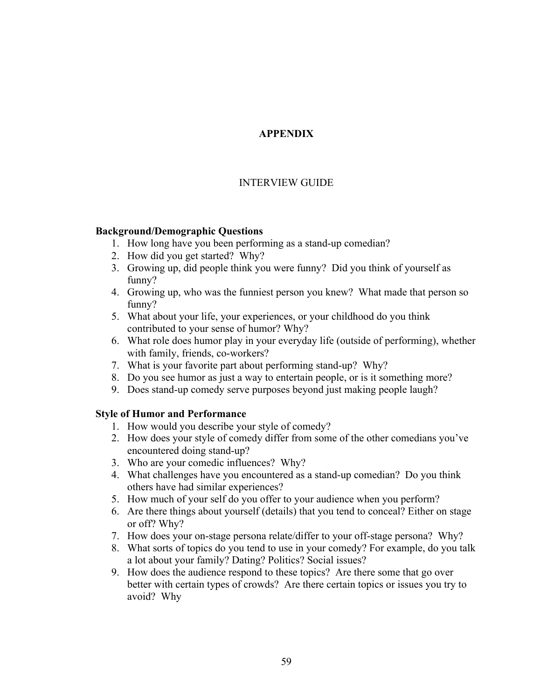# **APPENDIX**

# INTERVIEW GUIDE

## **Background/Demographic Questions**

- 1. How long have you been performing as a stand-up comedian?
- 2. How did you get started? Why?
- 3. Growing up, did people think you were funny? Did you think of yourself as funny?
- 4. Growing up, who was the funniest person you knew? What made that person so funny?
- 5. What about your life, your experiences, or your childhood do you think contributed to your sense of humor? Why?
- 6. What role does humor play in your everyday life (outside of performing), whether with family, friends, co-workers?
- 7. What is your favorite part about performing stand-up? Why?
- 8. Do you see humor as just a way to entertain people, or is it something more?
- 9. Does stand-up comedy serve purposes beyond just making people laugh?

## **Style of Humor and Performance**

- 1. How would you describe your style of comedy?
- 2. How does your style of comedy differ from some of the other comedians you've encountered doing stand-up?
- 3. Who are your comedic influences? Why?
- 4. What challenges have you encountered as a stand-up comedian? Do you think others have had similar experiences?
- 5. How much of your self do you offer to your audience when you perform?
- 6. Are there things about yourself (details) that you tend to conceal? Either on stage or off? Why?
- 7. How does your on-stage persona relate/differ to your off-stage persona? Why?
- 8. What sorts of topics do you tend to use in your comedy? For example, do you talk a lot about your family? Dating? Politics? Social issues?
- 9. How does the audience respond to these topics? Are there some that go over better with certain types of crowds? Are there certain topics or issues you try to avoid? Why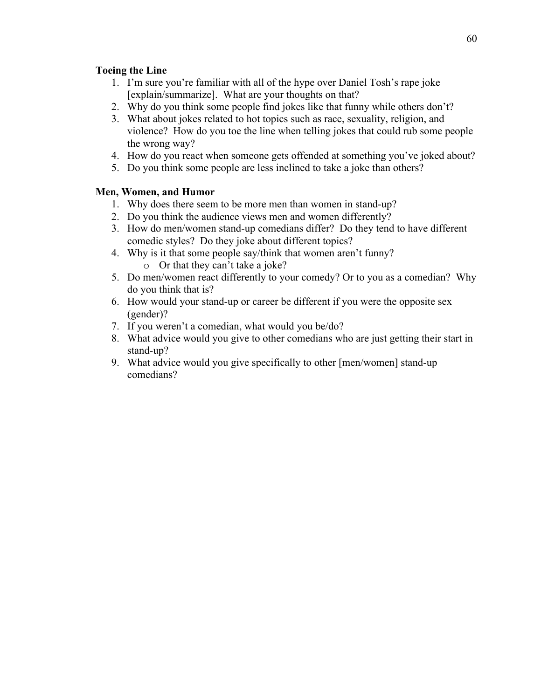## **Toeing the Line**

- 1. I'm sure you're familiar with all of the hype over Daniel Tosh's rape joke [explain/summarize]. What are your thoughts on that?
- 2. Why do you think some people find jokes like that funny while others don't?
- 3. What about jokes related to hot topics such as race, sexuality, religion, and violence? How do you toe the line when telling jokes that could rub some people the wrong way?
- 4. How do you react when someone gets offended at something you've joked about?
- 5. Do you think some people are less inclined to take a joke than others?

## **Men, Women, and Humor**

- 1. Why does there seem to be more men than women in stand-up?
- 2. Do you think the audience views men and women differently?
- 3. How do men/women stand-up comedians differ? Do they tend to have different comedic styles? Do they joke about different topics?
- 4. Why is it that some people say/think that women aren't funny?
	- o Or that they can't take a joke?
- 5. Do men/women react differently to your comedy? Or to you as a comedian? Why do you think that is?
- 6. How would your stand-up or career be different if you were the opposite sex (gender)?
- 7. If you weren't a comedian, what would you be/do?
- 8. What advice would you give to other comedians who are just getting their start in stand-up?
- 9. What advice would you give specifically to other [men/women] stand-up comedians?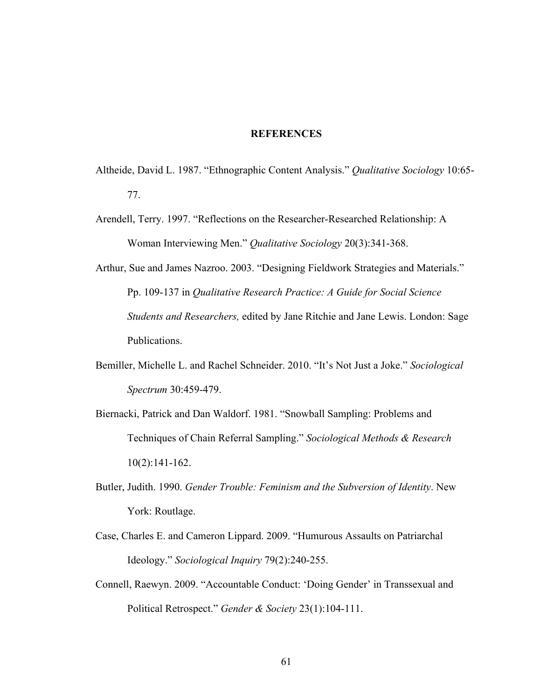### **REFERENCES**

- Altheide, David L. 1987. "Ethnographic Content Analysis." *Qualitative Sociology* 10:65- 77.
- Arendell, Terry. 1997. "Reflections on the Researcher-Researched Relationship: A Woman Interviewing Men." *Qualitative Sociology* 20(3):341-368.
- Arthur, Sue and James Nazroo. 2003. "Designing Fieldwork Strategies and Materials." Pp. 109-137 in *Qualitative Research Practice: A Guide for Social Science Students and Researchers,* edited by Jane Ritchie and Jane Lewis. London: Sage Publications.
- Bemiller, Michelle L. and Rachel Schneider. 2010. "It's Not Just a Joke." *Sociological Spectrum* 30:459-479.
- Biernacki, Patrick and Dan Waldorf. 1981. "Snowball Sampling: Problems and Techniques of Chain Referral Sampling." *Sociological Methods & Research* 10(2):141-162.
- Butler, Judith. 1990. *Gender Trouble: Feminism and the Subversion of Identity*. New York: Routlage.
- Case, Charles E. and Cameron Lippard. 2009. "Humurous Assaults on Patriarchal Ideology." *Sociological Inquiry* 79(2):240-255.
- Connell, Raewyn. 2009. "Accountable Conduct: 'Doing Gender' in Transsexual and Political Retrospect." *Gender & Society* 23(1):104-111.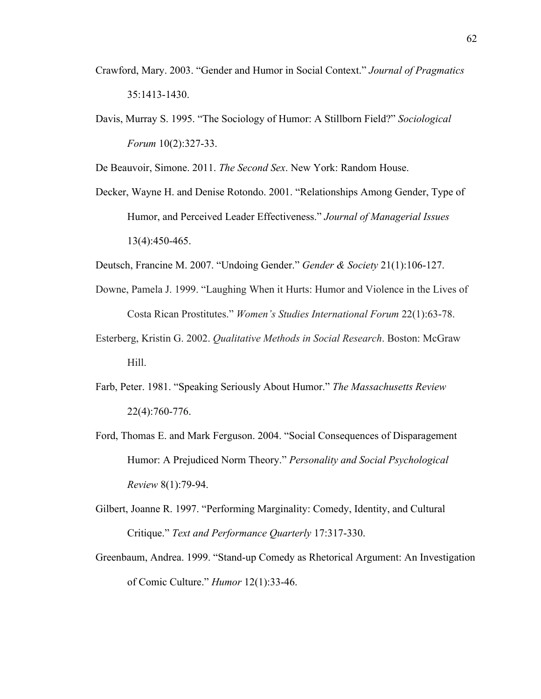- Crawford, Mary. 2003. "Gender and Humor in Social Context." *Journal of Pragmatics* 35:1413-1430.
- Davis, Murray S. 1995. "The Sociology of Humor: A Stillborn Field?" *Sociological Forum* 10(2):327-33.

De Beauvoir, Simone. 2011. *The Second Sex*. New York: Random House.

Decker, Wayne H. and Denise Rotondo. 2001. "Relationships Among Gender, Type of Humor, and Perceived Leader Effectiveness." *Journal of Managerial Issues* 13(4):450-465.

Deutsch, Francine M. 2007. "Undoing Gender." *Gender & Society* 21(1):106-127.

- Downe, Pamela J. 1999. "Laughing When it Hurts: Humor and Violence in the Lives of Costa Rican Prostitutes." *Women's Studies International Forum* 22(1):63-78.
- Esterberg, Kristin G. 2002. *Qualitative Methods in Social Research*. Boston: McGraw Hill.
- Farb, Peter. 1981. "Speaking Seriously About Humor." *The Massachusetts Review* 22(4):760-776.
- Ford, Thomas E. and Mark Ferguson. 2004. "Social Consequences of Disparagement Humor: A Prejudiced Norm Theory." *Personality and Social Psychological Review* 8(1):79-94.
- Gilbert, Joanne R. 1997. "Performing Marginality: Comedy, Identity, and Cultural Critique." *Text and Performance Quarterly* 17:317-330.
- Greenbaum, Andrea. 1999. "Stand-up Comedy as Rhetorical Argument: An Investigation of Comic Culture." *Humor* 12(1):33-46.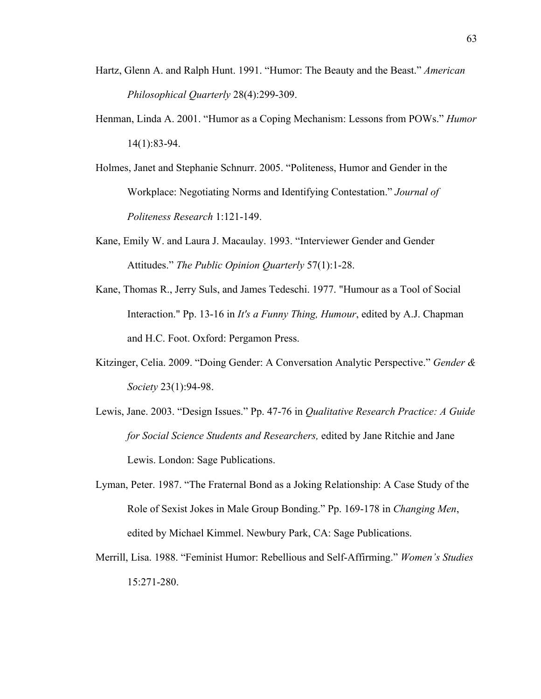- Hartz, Glenn A. and Ralph Hunt. 1991. "Humor: The Beauty and the Beast." *American Philosophical Quarterly* 28(4):299-309.
- Henman, Linda A. 2001. "Humor as a Coping Mechanism: Lessons from POWs." *Humor*  14(1):83-94.
- Holmes, Janet and Stephanie Schnurr. 2005. "Politeness, Humor and Gender in the Workplace: Negotiating Norms and Identifying Contestation." *Journal of Politeness Research* 1:121-149.
- Kane, Emily W. and Laura J. Macaulay. 1993. "Interviewer Gender and Gender Attitudes." *The Public Opinion Quarterly* 57(1):1-28.
- Kane, Thomas R., Jerry Suls, and James Tedeschi. 1977. "Humour as a Tool of Social Interaction." Pp. 13-16 in *It's a Funny Thing, Humour*, edited by A.J. Chapman and H.C. Foot. Oxford: Pergamon Press.
- Kitzinger, Celia. 2009. "Doing Gender: A Conversation Analytic Perspective." *Gender & Society* 23(1):94-98.
- Lewis, Jane. 2003. "Design Issues." Pp. 47-76 in *Qualitative Research Practice: A Guide for Social Science Students and Researchers,* edited by Jane Ritchie and Jane Lewis. London: Sage Publications.
- Lyman, Peter. 1987. "The Fraternal Bond as a Joking Relationship: A Case Study of the Role of Sexist Jokes in Male Group Bonding." Pp. 169-178 in *Changing Men*, edited by Michael Kimmel. Newbury Park, CA: Sage Publications.
- Merrill, Lisa. 1988. "Feminist Humor: Rebellious and Self-Affirming." *Women's Studies* 15:271-280.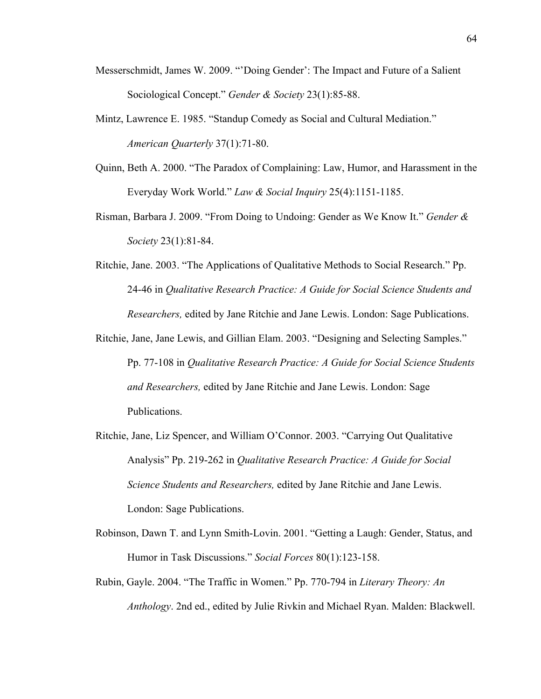- Messerschmidt, James W. 2009. "'Doing Gender': The Impact and Future of a Salient Sociological Concept." *Gender & Society* 23(1):85-88.
- Mintz, Lawrence E. 1985. "Standup Comedy as Social and Cultural Mediation." *American Quarterly* 37(1):71-80.
- Quinn, Beth A. 2000. "The Paradox of Complaining: Law, Humor, and Harassment in the Everyday Work World." *Law & Social Inquiry* 25(4):1151-1185.
- Risman, Barbara J. 2009. "From Doing to Undoing: Gender as We Know It." *Gender & Society* 23(1):81-84.
- Ritchie, Jane. 2003. "The Applications of Qualitative Methods to Social Research." Pp. 24-46 in *Qualitative Research Practice: A Guide for Social Science Students and Researchers,* edited by Jane Ritchie and Jane Lewis. London: Sage Publications.
- Ritchie, Jane, Jane Lewis, and Gillian Elam. 2003. "Designing and Selecting Samples." Pp. 77-108 in *Qualitative Research Practice: A Guide for Social Science Students and Researchers,* edited by Jane Ritchie and Jane Lewis. London: Sage Publications.
- Ritchie, Jane, Liz Spencer, and William O'Connor. 2003. "Carrying Out Qualitative Analysis" Pp. 219-262 in *Qualitative Research Practice: A Guide for Social Science Students and Researchers,* edited by Jane Ritchie and Jane Lewis. London: Sage Publications.
- Robinson, Dawn T. and Lynn Smith-Lovin. 2001. "Getting a Laugh: Gender, Status, and Humor in Task Discussions." *Social Forces* 80(1):123-158.
- Rubin, Gayle. 2004. "The Traffic in Women." Pp. 770-794 in *Literary Theory: An Anthology*. 2nd ed., edited by Julie Rivkin and Michael Ryan. Malden: Blackwell.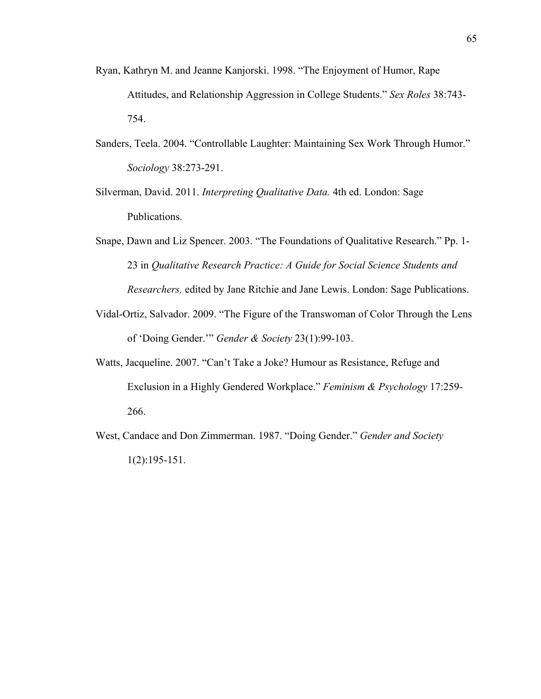- Ryan, Kathryn M. and Jeanne Kanjorski. 1998. "The Enjoyment of Humor, Rape Attitudes, and Relationship Aggression in College Students." *Sex Roles* 38:743- 754.
- Sanders, Teela. 2004. "Controllable Laughter: Maintaining Sex Work Through Humor." *Sociology* 38:273-291.
- Silverman, David. 2011. *Interpreting Qualitative Data.* 4th ed. London: Sage Publications.
- Snape, Dawn and Liz Spencer. 2003. "The Foundations of Qualitative Research." Pp. 1- 23 in *Qualitative Research Practice: A Guide for Social Science Students and Researchers,* edited by Jane Ritchie and Jane Lewis. London: Sage Publications.
- Vidal-Ortiz, Salvador. 2009. "The Figure of the Transwoman of Color Through the Lens of 'Doing Gender.'" *Gender & Society* 23(1):99-103.
- Watts, Jacqueline. 2007. "Can't Take a Joke? Humour as Resistance, Refuge and Exclusion in a Highly Gendered Workplace." *Feminism & Psychology* 17:259- 266.
- West, Candace and Don Zimmerman. 1987. "Doing Gender." *Gender and Society* 1(2):195-151.